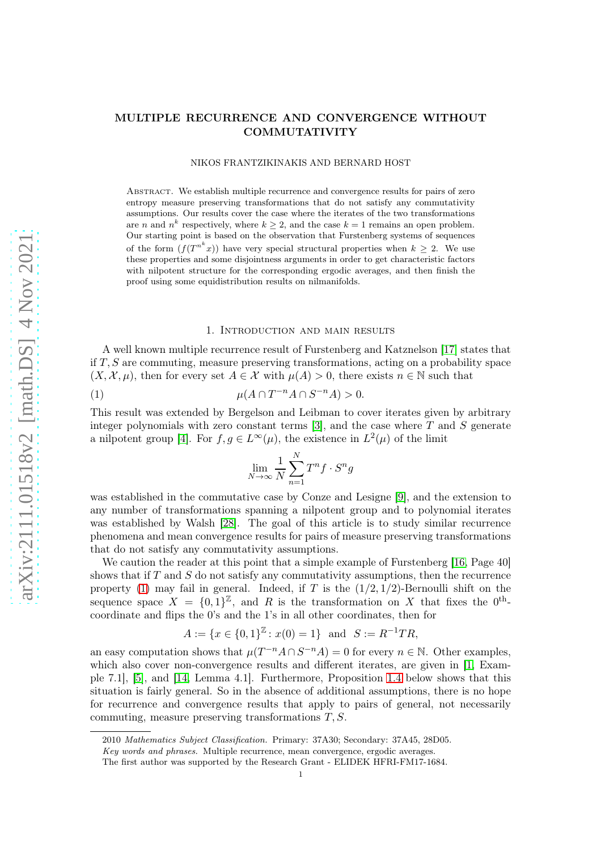NIKOS FRANTZIKINAKIS AND BERNARD HOST

Abstract. We establish multiple recurrence and convergence results for pairs of zero entropy measure preserving transformations that do not satisfy any commutativity assumptions. Our results cover the case where the iterates of the two transformations are *n* and  $n^k$  respectively, where  $k \geq 2$ , and the case  $k = 1$  remains an open problem. Our starting point is based on the observation that Furstenberg systems of sequences of the form  $(f(T^{n^k}x))$  have very special structural properties when  $k \geq 2$ . We use these properties and some disjointness arguments in order to get characteristic factors with nilpotent structure for the corresponding ergodic averages, and then finish the proof using some equidistribution results on nilmanifolds.

## 1. Introduction and main results

A well known multiple recurrence result of Furstenberg and Katznelson [\[17\]](#page-19-0) states that if  $T, S$  are commuting, measure preserving transformations, acting on a probability space  $(X, \mathcal{X}, \mu)$ , then for every set  $A \in \mathcal{X}$  with  $\mu(A) > 0$ , there exists  $n \in \mathbb{N}$  such that

$$
\mu(A \cap T^{-n}A \cap S^{-n}A) > 0.
$$

This result was extended by Bergelson and Leibman to cover iterates given by arbitrary integer polynomials with zero constant terms  $[3]$ , and the case where T and S generate a nilpotent group [\[4\]](#page-18-1). For  $f, g \in L^{\infty}(\mu)$ , the existence in  $L^2(\mu)$  of the limit

<span id="page-0-0"></span>
$$
\lim_{N \to \infty} \frac{1}{N} \sum_{n=1}^{N} T^n f \cdot S^n g
$$

was established in the commutative case by Conze and Lesigne [\[9\]](#page-19-1), and the extension to any number of transformations spanning a nilpotent group and to polynomial iterates was established by Walsh [\[28\]](#page-19-2). The goal of this article is to study similar recurrence phenomena and mean convergence results for pairs of measure preserving transformations that do not satisfy any commutativity assumptions.

We caution the reader at this point that a simple example of Furstenberg [\[16,](#page-19-3) Page 40] shows that if  $T$  and  $S$  do not satisfy any commutativity assumptions, then the recurrence property [\(1\)](#page-0-0) may fail in general. Indeed, if T is the  $(1/2, 1/2)$ -Bernoulli shift on the sequence space  $X = \{0,1\}^{\mathbb{Z}}$ , and R is the transformation on X that fixes the  $0^{\text{th}}$ coordinate and flips the 0's and the 1's in all other coordinates, then for

$$
A := \{ x \in \{0, 1\}^{\mathbb{Z}} : x(0) = 1 \} \text{ and } S := R^{-1}TR,
$$

an easy computation shows that  $\mu(T^{-n}A \cap S^{-n}A) = 0$  for every  $n \in \mathbb{N}$ . Other examples, which also cover non-convergence results and different iterates, are given in [\[1,](#page-18-2) Example 7.1], [\[5\]](#page-18-3), and [\[14,](#page-19-4) Lemma 4.1]. Furthermore, Proposition [1.4](#page-2-0) below shows that this situation is fairly general. So in the absence of additional assumptions, there is no hope for recurrence and convergence results that apply to pairs of general, not necessarily commuting, measure preserving transformations  $T, S$ .

<sup>2010</sup> Mathematics Subject Classification. Primary: 37A30; Secondary: 37A45, 28D05.

Key words and phrases. Multiple recurrence, mean convergence, ergodic averages.

The first author was supported by the Research Grant - ELIDEK HFRI-FM17-1684.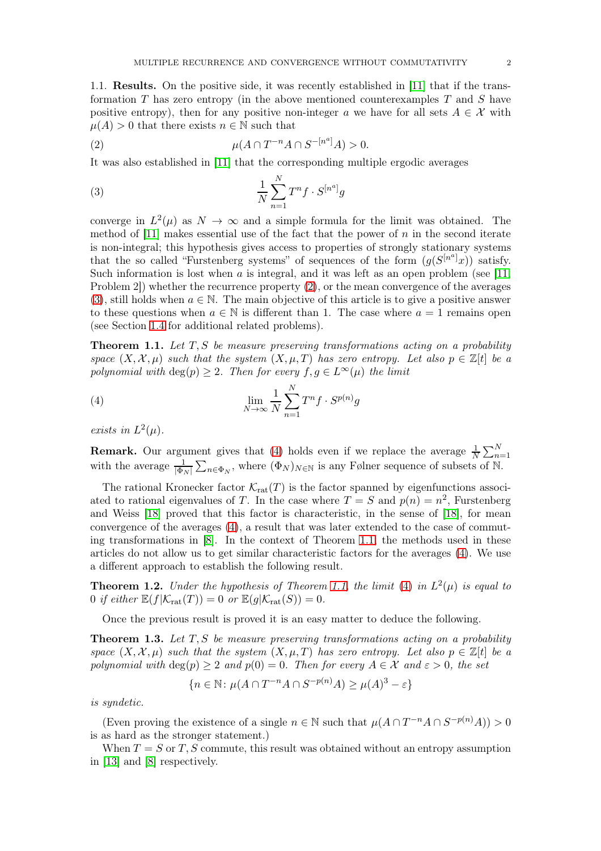1.1. Results. On the positive side, it was recently established in [\[11\]](#page-19-5) that if the transformation  $T$  has zero entropy (in the above mentioned counterexamples  $T$  and  $S$  have positive entropy), then for any positive non-integer a we have for all sets  $A \in \mathcal{X}$  with  $\mu(A) > 0$  that there exists  $n \in \mathbb{N}$  such that

<span id="page-1-0"></span>(2) 
$$
\mu(A \cap T^{-n}A \cap S^{-[n^a]}A) > 0.
$$

It was also established in [\[11\]](#page-19-5) that the corresponding multiple ergodic averages

<span id="page-1-1"></span>
$$
\frac{1}{N} \sum_{n=1}^{N} T^n f \cdot S^{[n^a]} g
$$

converge in  $L^2(\mu)$  as  $N \to \infty$  and a simple formula for the limit was obtained. The method of  $[11]$  makes essential use of the fact that the power of n in the second iterate is non-integral; this hypothesis gives access to properties of strongly stationary systems that the so called "Furstenberg systems" of sequences of the form  $(g(S^{[n^a]}x))$  satisfy. Such information is lost when  $a$  is integral, and it was left as an open problem (see [\[11,](#page-19-5) Problem 2]) whether the recurrence property [\(2\)](#page-1-0), or the mean convergence of the averages [\(3\)](#page-1-1), still holds when  $a \in \mathbb{N}$ . The main objective of this article is to give a positive answer to these questions when  $a \in \mathbb{N}$  is different than 1. The case where  $a = 1$  remains open (see Section [1.4](#page-2-1) for additional related problems).

<span id="page-1-3"></span>**Theorem 1.1.** Let  $T, S$  be measure preserving transformations acting on a probability space  $(X, \mathcal{X}, \mu)$  such that the system  $(X, \mu, T)$  has zero entropy. Let also  $p \in \mathbb{Z}[t]$  be a polynomial with  $\deg(p) > 2$ . Then for every  $f, g \in L^{\infty}(\mu)$  the limit

<span id="page-1-2"></span>(4) 
$$
\lim_{N \to \infty} \frac{1}{N} \sum_{n=1}^{N} T^n f \cdot S^{p(n)} g
$$

exists in  $L^2(\mu)$ .

**Remark.** Our argument gives that [\(4\)](#page-1-2) holds even if we replace the average  $\frac{1}{N} \sum_{n=1}^{N}$  with the average  $\frac{1}{|\Phi_N|} \sum_{n \in \Phi_N}$ , where  $(\Phi_N)_{N \in \mathbb{N}}$  is any Følner sequence of subsets of N.

The rational Kronecker factor  $\mathcal{K}_{rat}(T)$  is the factor spanned by eigenfunctions associated to rational eigenvalues of T. In the case where  $T = S$  and  $p(n) = n^2$ , Furstenberg and Weiss [\[18\]](#page-19-6) proved that this factor is characteristic, in the sense of [\[18\]](#page-19-6), for mean convergence of the averages [\(4\)](#page-1-2), a result that was later extended to the case of commuting transformations in [\[8\]](#page-19-7). In the context of Theorem [1.1,](#page-1-3) the methods used in these articles do not allow us to get similar characteristic factors for the averages [\(4\)](#page-1-2). We use a different approach to establish the following result.

<span id="page-1-5"></span>**Theorem 1.2.** Under the hypothesis of Theorem [1.1,](#page-1-3) the limit [\(4\)](#page-1-2) in  $L^2(\mu)$  is equal to 0 if either  $\mathbb{E}(f|\mathcal{K}_{rat}(T)) = 0$  or  $\mathbb{E}(g|\mathcal{K}_{rat}(S)) = 0$ .

Once the previous result is proved it is an easy matter to deduce the following.

<span id="page-1-4"></span>**Theorem 1.3.** Let  $T, S$  be measure preserving transformations acting on a probability space  $(X, \mathcal{X}, \mu)$  such that the system  $(X, \mu, T)$  has zero entropy. Let also  $p \in \mathbb{Z}[t]$  be a polynomial with  $\deg(p) \geq 2$  and  $p(0) = 0$ . Then for every  $A \in \mathcal{X}$  and  $\varepsilon > 0$ , the set

$$
\{n \in \mathbb{N} \colon \mu(A \cap T^{-n}A \cap S^{-p(n)}A) \ge \mu(A)^3 - \varepsilon\}
$$

is syndetic.

(Even proving the existence of a single  $n \in \mathbb{N}$  such that  $\mu(A \cap T^{-n}A \cap S^{-p(n)}A) > 0$ is as hard as the stronger statement.)

When  $T = S$  or T, S commute, this result was obtained without an entropy assumption in [\[13\]](#page-19-8) and [\[8\]](#page-19-7) respectively.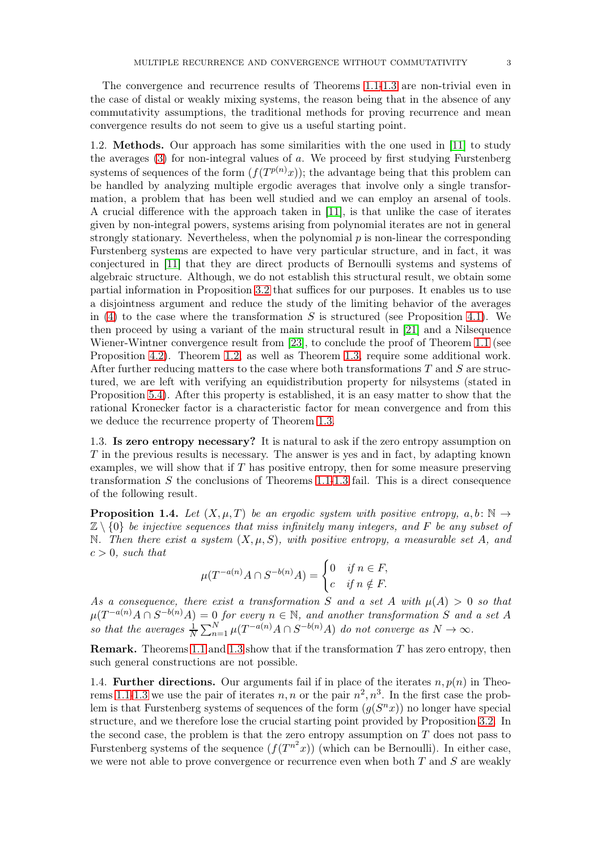The convergence and recurrence results of Theorems [1.1](#page-1-3)[-1.3](#page-1-4) are non-trivial even in the case of distal or weakly mixing systems, the reason being that in the absence of any commutativity assumptions, the traditional methods for proving recurrence and mean convergence results do not seem to give us a useful starting point.

1.2. Methods. Our approach has some similarities with the one used in [\[11\]](#page-19-5) to study the averages [\(3\)](#page-1-1) for non-integral values of a. We proceed by first studying Furstenberg systems of sequences of the form  $(f(T^{p(n)}x))$ ; the advantage being that this problem can be handled by analyzing multiple ergodic averages that involve only a single transformation, a problem that has been well studied and we can employ an arsenal of tools. A crucial difference with the approach taken in [\[11\]](#page-19-5), is that unlike the case of iterates given by non-integral powers, systems arising from polynomial iterates are not in general strongly stationary. Nevertheless, when the polynomial  $p$  is non-linear the corresponding Furstenberg systems are expected to have very particular structure, and in fact, it was conjectured in [\[11\]](#page-19-5) that they are direct products of Bernoulli systems and systems of algebraic structure. Although, we do not establish this structural result, we obtain some partial information in Proposition [3.2](#page-7-0) that suffices for our purposes. It enables us to use a disjointness argument and reduce the study of the limiting behavior of the averages in [\(4\)](#page-1-2) to the case where the transformation  $S$  is structured (see Proposition [4.1\)](#page-9-0). We then proceed by using a variant of the main structural result in [\[21\]](#page-19-9) and a Nilsequence Wiener-Wintner convergence result from [\[23\]](#page-19-10), to conclude the proof of Theorem [1.1](#page-1-3) (see Proposition [4.2\)](#page-10-0). Theorem [1.2,](#page-1-5) as well as Theorem [1.3,](#page-1-4) require some additional work. After further reducing matters to the case where both transformations  $T$  and  $S$  are structured, we are left with verifying an equidistribution property for nilsystems (stated in Proposition [5.4\)](#page-13-0). After this property is established, it is an easy matter to show that the rational Kronecker factor is a characteristic factor for mean convergence and from this we deduce the recurrence property of Theorem [1.3.](#page-1-4)

1.3. Is zero entropy necessary? It is natural to ask if the zero entropy assumption on T in the previous results is necessary. The answer is yes and in fact, by adapting known examples, we will show that if  $T$  has positive entropy, then for some measure preserving transformation  $S$  the conclusions of Theorems [1.1](#page-1-3)[-1.3](#page-1-4) fail. This is a direct consequence of the following result.

<span id="page-2-0"></span>**Proposition 1.4.** Let  $(X, \mu, T)$  be an ergodic system with positive entropy,  $a, b \colon \mathbb{N} \to$  $\mathbb{Z}\setminus\{0\}$  be injective sequences that miss infinitely many integers, and F be any subset of N. Then there exist a system  $(X, \mu, S)$ , with positive entropy, a measurable set A, and  $c > 0$ , such that

$$
\mu(T^{-a(n)}A \cap S^{-b(n)}A) = \begin{cases} 0 & \text{if } n \in F, \\ c & \text{if } n \notin F. \end{cases}
$$

As a consequence, there exist a transformation S and a set A with  $\mu(A) > 0$  so that  $\mu(T^{-a(n)}A\cap S^{-b(n)}A)=0$  for every  $n\in\mathbb{N}$ , and another transformation S and a set A so that the averages  $\frac{1}{N} \sum_{n=1}^{N} \mu(T^{-a(n)}A \cap S^{-b(n)}A)$  do not converge as  $N \to \infty$ .

**Remark.** Theorems [1.1](#page-1-3) and [1.3](#page-1-4) show that if the transformation  $T$  has zero entropy, then such general constructions are not possible.

<span id="page-2-1"></span>1.4. Further directions. Our arguments fail if in place of the iterates  $n, p(n)$  in Theo-rems [1.1](#page-1-3)[-1.3](#page-1-4) we use the pair of iterates  $n, n$  or the pair  $n^2, n^3$ . In the first case the problem is that Furstenberg systems of sequences of the form  $(g(S^n x))$  no longer have special structure, and we therefore lose the crucial starting point provided by Proposition [3.2.](#page-7-0) In the second case, the problem is that the zero entropy assumption on  $T$  does not pass to Furstenberg systems of the sequence  $(f(T^{n^2}x))$  (which can be Bernoulli). In either case, we were not able to prove convergence or recurrence even when both  $T$  and  $S$  are weakly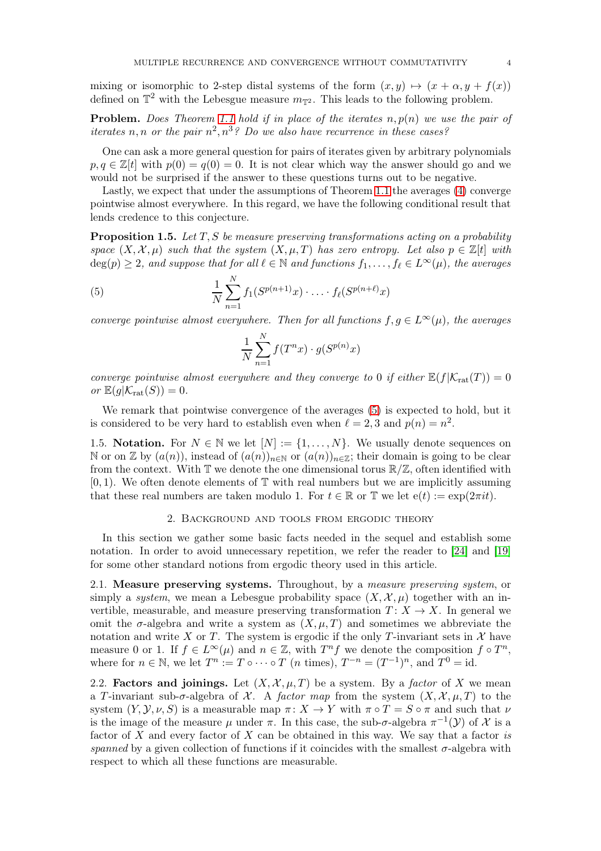mixing or isomorphic to 2-step distal systems of the form  $(x, y) \mapsto (x + \alpha, y + f(x))$ defined on  $\mathbb{T}^2$  with the Lebesgue measure  $m_{\mathbb{T}^2}$ . This leads to the following problem.

**Problem.** Does Theorem [1.1](#page-1-3) hold if in place of the iterates  $n, p(n)$  we use the pair of iterates n, n or the pair  $n^2, n^3$ ? Do we also have recurrence in these cases?

One can ask a more general question for pairs of iterates given by arbitrary polynomials  $p, q \in \mathbb{Z}[t]$  with  $p(0) = q(0) = 0$ . It is not clear which way the answer should go and we would not be surprised if the answer to these questions turns out to be negative.

Lastly, we expect that under the assumptions of Theorem [1.1](#page-1-3) the averages [\(4\)](#page-1-2) converge pointwise almost everywhere. In this regard, we have the following conditional result that lends credence to this conjecture.

<span id="page-3-1"></span>**Proposition 1.5.** Let  $T, S$  be measure preserving transformations acting on a probability space  $(X, \mathcal{X}, \mu)$  such that the system  $(X, \mu, T)$  has zero entropy. Let also  $p \in \mathbb{Z}[t]$  with  $deg(p) \geq 2$ , and suppose that for all  $\ell \in \mathbb{N}$  and functions  $f_1, \ldots, f_\ell \in L^\infty(\mu)$ , the averages

(5) 
$$
\frac{1}{N} \sum_{n=1}^{N} f_1(S^{p(n+1)}x) \cdot \ldots \cdot f_{\ell}(S^{p(n+\ell)}x)
$$

converge pointwise almost everywhere. Then for all functions  $f, g \in L^{\infty}(\mu)$ , the averages

<span id="page-3-0"></span>
$$
\frac{1}{N} \sum_{n=1}^{N} f(T^n x) \cdot g(S^{p(n)} x)
$$

converge pointwise almost everywhere and they converge to 0 if either  $\mathbb{E}(f|\mathcal{K}_{\text{rat}}(T)) = 0$ or  $\mathbb{E}(g|\mathcal{K}_{\text{rat}}(S))=0.$ 

We remark that pointwise convergence of the averages [\(5\)](#page-3-0) is expected to hold, but it is considered to be very hard to establish even when  $\ell = 2, 3$  and  $p(n) = n^2$ .

1.5. Notation. For  $N \in \mathbb{N}$  we let  $[N] := \{1, \ldots, N\}$ . We usually denote sequences on N or on Z by  $(a(n))$ , instead of  $(a(n))_{n\in\mathbb{N}}$  or  $(a(n))_{n\in\mathbb{Z}}$ ; their domain is going to be clear from the context. With  $\mathbb T$  we denote the one dimensional torus  $\mathbb R/\mathbb Z$ , often identified with  $[0, 1)$ . We often denote elements of  $\mathbb T$  with real numbers but we are implicitly assuming that these real numbers are taken modulo 1. For  $t \in \mathbb{R}$  or T we let  $e(t) := \exp(2\pi i t)$ .

### 2. Background and tools from ergodic theory

In this section we gather some basic facts needed in the sequel and establish some notation. In order to avoid unnecessary repetition, we refer the reader to [\[24\]](#page-19-11) and [\[19\]](#page-19-12) for some other standard notions from ergodic theory used in this article.

2.1. Measure preserving systems. Throughout, by a measure preserving system, or simply a system, we mean a Lebesgue probability space  $(X, \mathcal{X}, \mu)$  together with an invertible, measurable, and measure preserving transformation  $T: X \to X$ . In general we omit the  $\sigma$ -algebra and write a system as  $(X, \mu, T)$  and sometimes we abbreviate the notation and write X or T. The system is ergodic if the only T-invariant sets in X have measure 0 or 1. If  $f \in L^{\infty}(\mu)$  and  $n \in \mathbb{Z}$ , with  $T^n f$  we denote the composition  $f \circ T^n$ , where for  $n \in \mathbb{N}$ , we let  $T^n := T \circ \cdots \circ T$  (*n* times),  $T^{-n} = (T^{-1})^n$ , and  $T^0 = id$ .

2.2. **Factors and joinings.** Let  $(X, \mathcal{X}, \mu, T)$  be a system. By a *factor* of X we mean a T-invariant sub- $\sigma$ -algebra of X. A factor map from the system  $(X, \mathcal{X}, \mu, T)$  to the system  $(Y, Y, \nu, S)$  is a measurable map  $\pi \colon X \to Y$  with  $\pi \circ T = S \circ \pi$  and such that  $\nu$ is the image of the measure  $\mu$  under  $\pi$ . In this case, the sub- $\sigma$ -algebra  $\pi^{-1}(\mathcal{Y})$  of X is a factor of  $X$  and every factor of  $X$  can be obtained in this way. We say that a factor is spanned by a given collection of functions if it coincides with the smallest  $\sigma$ -algebra with respect to which all these functions are measurable.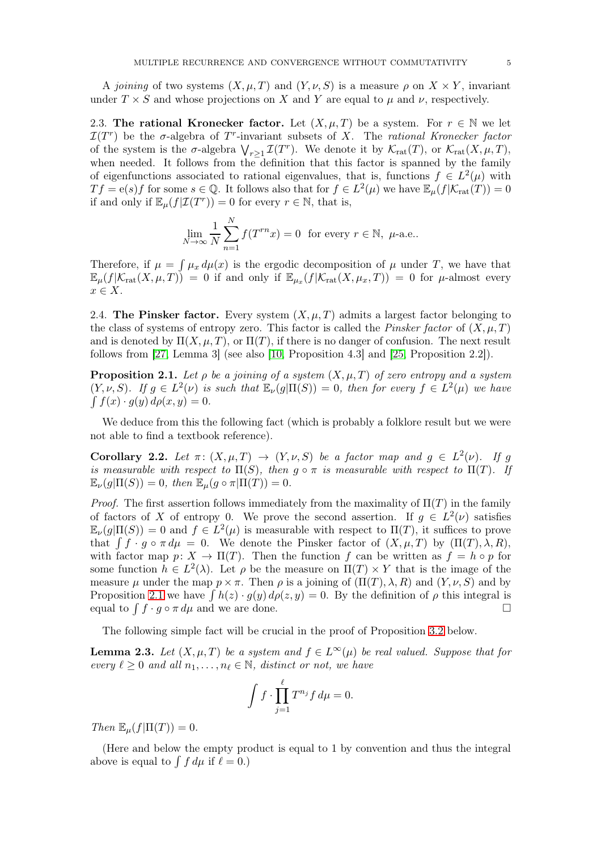A joining of two systems  $(X, \mu, T)$  and  $(Y, \nu, S)$  is a measure  $\rho$  on  $X \times Y$ , invariant under  $T \times S$  and whose projections on X and Y are equal to  $\mu$  and  $\nu$ , respectively.

<span id="page-4-3"></span>2.3. The rational Kronecker factor. Let  $(X, \mu, T)$  be a system. For  $r \in \mathbb{N}$  we let  $\mathcal{I}(T^r)$  be the  $\sigma$ -algebra of  $T^r$ -invariant subsets of X. The rational Kronecker factor of the system is the  $\sigma$ -algebra  $\bigvee_{r\geq 1} \mathcal{I}(T^r)$ . We denote it by  $\mathcal{K}_{rat}(T)$ , or  $\mathcal{K}_{rat}(X,\mu,T)$ , when needed. It follows from the definition that this factor is spanned by the family of eigenfunctions associated to rational eigenvalues, that is, functions  $f \in L^2(\mu)$  with  $Tf = e(s)f$  for some  $s \in \mathbb{Q}$ . It follows also that for  $f \in L^2(\mu)$  we have  $\mathbb{E}_{\mu}(f|\mathcal{K}_{\text{rat}}(T)) = 0$ if and only if  $\mathbb{E}_{\mu}(f|\mathcal{I}(T^r)) = 0$  for every  $r \in \mathbb{N}$ , that is,

$$
\lim_{N \to \infty} \frac{1}{N} \sum_{n=1}^{N} f(T^{rn}x) = 0 \text{ for every } r \in \mathbb{N}, \ \mu\text{-a.e.}.
$$

Therefore, if  $\mu = \int \mu_x d\mu(x)$  is the ergodic decomposition of  $\mu$  under T, we have that  $\mathbb{E}_{\mu}(f|\mathcal{K}_{\mathrm{rat}}(X,\mu,T)) = 0$  if and only if  $\mathbb{E}_{\mu_x}(f|\mathcal{K}_{\mathrm{rat}}(X,\mu_x,T)) = 0$  for  $\mu$ -almost every  $x \in X$ .

2.4. The Pinsker factor. Every system  $(X, \mu, T)$  admits a largest factor belonging to the class of systems of entropy zero. This factor is called the *Pinsker factor* of  $(X, \mu, T)$ and is denoted by  $\Pi(X,\mu,T)$ , or  $\Pi(T)$ , if there is no danger of confusion. The next result follows from [\[27,](#page-19-13) Lemma 3] (see also [\[10,](#page-19-14) Proposition 4.3] and [\[25,](#page-19-15) Proposition 2.2]).

<span id="page-4-0"></span>**Proposition 2.1.** Let  $\rho$  be a joining of a system  $(X, \mu, T)$  of zero entropy and a system  $(Y, \nu, S)$ . If  $g \in L^2(\nu)$  is such that  $\mathbb{E}_{\nu}(g|\Pi(S)) = 0$ , then for every  $f \in L^2(\mu)$  we have  $\int f(x) \cdot g(y) \, d\rho(x, y) = 0.$ 

We deduce from this the following fact (which is probably a folklore result but we were not able to find a textbook reference).

<span id="page-4-1"></span>Corollary 2.2. Let  $\pi: (X, \mu, T) \to (Y, \nu, S)$  be a factor map and  $g \in L^2(\nu)$ . If g is measurable with respect to  $\Pi(S)$ , then  $g \circ \pi$  is measurable with respect to  $\Pi(T)$ . If  $\mathbb{E}_{\nu}(q|\Pi(S)) = 0$ , then  $\mathbb{E}_{\mu}(q \circ \pi|\Pi(T)) = 0$ .

*Proof.* The first assertion follows immediately from the maximality of  $\Pi(T)$  in the family of factors of X of entropy 0. We prove the second assertion. If  $g \in L^2(\nu)$  satisfies  $\mathbb{E}_{\nu}(g|\Pi(S)) = 0$  and  $f \in L^2(\mu)$  is measurable with respect to  $\Pi(T)$ , it suffices to prove that  $\int f \cdot g \circ \pi d\mu = 0$ . We denote the Pinsker factor of  $(X, \mu, T)$  by  $(\Pi(T), \lambda, R)$ , with factor map  $p: X \to \Pi(T)$ . Then the function f can be written as  $f = h \circ p$  for some function  $h \in L^2(\lambda)$ . Let  $\rho$  be the measure on  $\Pi(T) \times Y$  that is the image of the measure  $\mu$  under the map  $p \times \pi$ . Then  $\rho$  is a joining of  $(\Pi(T), \lambda, R)$  and  $(Y, \nu, S)$  and by Proposition [2.1](#page-4-0) we have  $\int h(z) \cdot g(y) d\rho(z, y) = 0$ . By the definition of  $\rho$  this integral is equal to  $\int f \cdot g \circ \pi d\mu$  and we are done.

The following simple fact will be crucial in the proof of Proposition [3.2](#page-7-0) below.

<span id="page-4-2"></span>**Lemma 2.3.** Let  $(X, \mu, T)$  be a system and  $f \in L^{\infty}(\mu)$  be real valued. Suppose that for every  $\ell \geq 0$  and all  $n_1, \ldots, n_\ell \in \mathbb{N}$ , distinct or not, we have

$$
\int f \cdot \prod_{j=1}^{\ell} T^{n_j} f \, d\mu = 0.
$$

Then  $\mathbb{E}_{\mu}(f|\Pi(T))=0.$ 

(Here and below the empty product is equal to 1 by convention and thus the integral above is equal to  $\int f d\mu$  if  $\ell = 0$ .)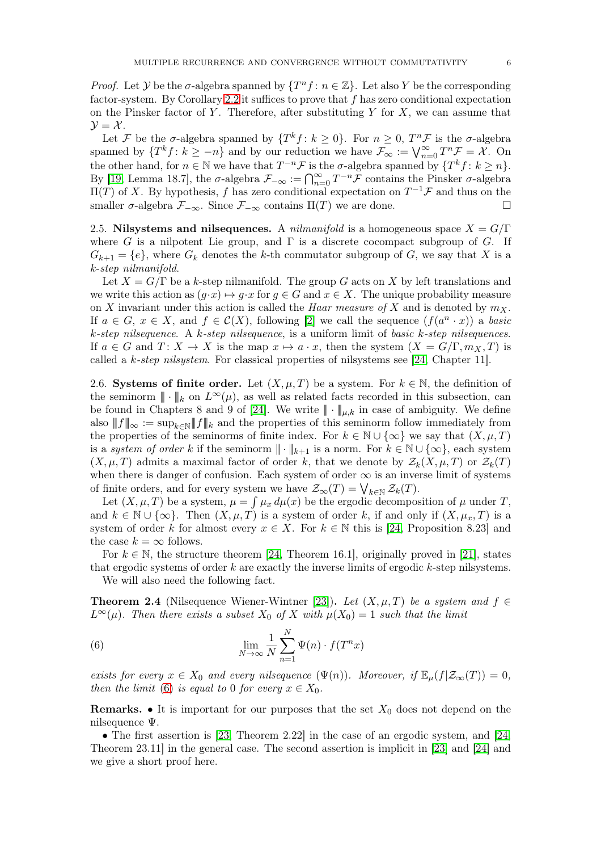*Proof.* Let Y be the  $\sigma$ -algebra spanned by  $\{T^n f : n \in \mathbb{Z}\}\$ . Let also Y be the corresponding factor-system. By Corollary [2.2](#page-4-1) it suffices to prove that  $f$  has zero conditional expectation on the Pinsker factor of Y. Therefore, after substituting Y for  $X$ , we can assume that  $\mathcal{Y} = \mathcal{X}$ .

Let F be the  $\sigma$ -algebra spanned by  $\{T^k f : k \geq 0\}$ . For  $n \geq 0$ ,  $T^n \mathcal{F}$  is the  $\sigma$ -algebra spanned by  $\{T^k f : k \geq -n\}$  and by our reduction we have  $\mathcal{F}_{\infty} := \bigvee_{n=0}^{\infty} T^n \mathcal{F} = \mathcal{X}$ . On the other hand, for  $n \in \mathbb{N}$  we have that  $T^{-n} \mathcal{F}$  is the  $\sigma$ -algebra spanned by  $\{T^k f : k \geq n\}$ . By [\[19,](#page-19-12) Lemma 18.7], the  $\sigma$ -algebra  $\mathcal{F}_{-\infty} := \bigcap_{n=0}^{\infty} T^{-n} \overline{\mathcal{F}}$  contains the Pinsker  $\sigma$ -algebra  $\Pi(T)$  of X. By hypothesis, f has zero conditional expectation on  $T^{-1} \mathcal{F}$  and thus on the smaller  $\sigma$ -algebra  $\mathcal{F}_{-\infty}$ . Since  $\mathcal{F}_{-\infty}$  contains  $\Pi(T)$  we are done.

2.5. Nilsystems and nilsequences. A *nilmanifold* is a homogeneous space  $X = G/\Gamma$ where G is a nilpotent Lie group, and  $\Gamma$  is a discrete cocompact subgroup of G. If  $G_{k+1} = \{e\}$ , where  $G_k$  denotes the k-th commutator subgroup of G, we say that X is a k-step nilmanifold.

Let  $X = G/\Gamma$  be a k-step nilmanifold. The group G acts on X by left translations and we write this action as  $(q \cdot x) \mapsto q \cdot x$  for  $q \in G$  and  $x \in X$ . The unique probability measure on X invariant under this action is called the *Haar measure of* X and is denoted by  $m<sub>X</sub>$ . If  $a \in G$ ,  $x \in X$ , and  $f \in \mathcal{C}(X)$ , following [\[2\]](#page-18-4) we call the sequence  $(f(a^n \cdot x))$  a basic k-step nilsequence. A k-step nilsequence, is a uniform limit of basic k-step nilsequences. If  $a \in G$  and  $T: X \to X$  is the map  $x \mapsto a \cdot x$ , then the system  $(X = G/\Gamma, m_X, T)$  is called a k-step nilsystem. For classical properties of nilsystems see [\[24,](#page-19-11) Chapter 11].

<span id="page-5-2"></span>2.6. Systems of finite order. Let  $(X, \mu, T)$  be a system. For  $k \in \mathbb{N}$ , the definition of the seminorm  $\|\cdot\|_k$  on  $L^{\infty}(\mu)$ , as well as related facts recorded in this subsection, can be found in Chapters 8 and 9 of [\[24\]](#page-19-11). We write  $\|\cdot\|_{\mu,k}$  in case of ambiguity. We define also  $||f||_{\infty} := \sup_{k \in \mathbb{N}} ||f||_{k}$  and the properties of this seminorm follow immediately from the properties of the seminorms of finite index. For  $k \in \mathbb{N} \cup \{\infty\}$  we say that  $(X, \mu, T)$ is a system of order k if the seminorm  $\|\cdot\|_{k+1}$  is a norm. For  $k \in \mathbb{N} \cup \{\infty\}$ , each system  $(X, \mu, T)$  admits a maximal factor of order k, that we denote by  $\mathcal{Z}_k(X, \mu, T)$  or  $\mathcal{Z}_k(T)$ when there is danger of confusion. Each system of order  $\infty$  is an inverse limit of systems of finite orders, and for every system we have  $\mathcal{Z}_{\infty}(T) = \bigvee_{k \in \mathbb{N}} \mathcal{Z}_k(T)$ .

Let  $(X, \mu, T)$  be a system,  $\mu = \int \mu_x d\mu(x)$  be the ergodic decomposition of  $\mu$  under T, and  $k \in \mathbb{N} \cup \{\infty\}$ . Then  $(X, \mu, T)$  is a system of order k, if and only if  $(X, \mu_x, T)$  is a system of order k for almost every  $x \in X$ . For  $k \in \mathbb{N}$  this is [\[24,](#page-19-11) Proposition 8.23] and the case  $k = \infty$  follows.

For  $k \in \mathbb{N}$ , the structure theorem [\[24,](#page-19-11) Theorem 16.1], originally proved in [\[21\]](#page-19-9), states that ergodic systems of order  $k$  are exactly the inverse limits of ergodic  $k$ -step nilsystems.

We will also need the following fact.

<span id="page-5-1"></span>**Theorem 2.4** (Nilsequence Wiener-Wintner [\[23\]](#page-19-10)). Let  $(X, \mu, T)$  be a system and  $f \in$  $L^{\infty}(\mu)$ . Then there exists a subset  $X_0$  of X with  $\mu(X_0) = 1$  such that the limit

<span id="page-5-0"></span>(6) 
$$
\lim_{N \to \infty} \frac{1}{N} \sum_{n=1}^{N} \Psi(n) \cdot f(T^n x)
$$

exists for every  $x \in X_0$  and every nilsequence  $(\Psi(n))$ . Moreover, if  $\mathbb{E}_{\mu}(f|\mathcal{Z}_{\infty}(T)) = 0$ , then the limit [\(6\)](#page-5-0) is equal to 0 for every  $x \in X_0$ .

**Remarks.** • It is important for our purposes that the set  $X_0$  does not depend on the nilsequence Ψ.

• The first assertion is [\[23,](#page-19-10) Theorem 2.22] in the case of an ergodic system, and [\[24,](#page-19-11) Theorem 23.11] in the general case. The second assertion is implicit in [\[23\]](#page-19-10) and [\[24\]](#page-19-11) and we give a short proof here.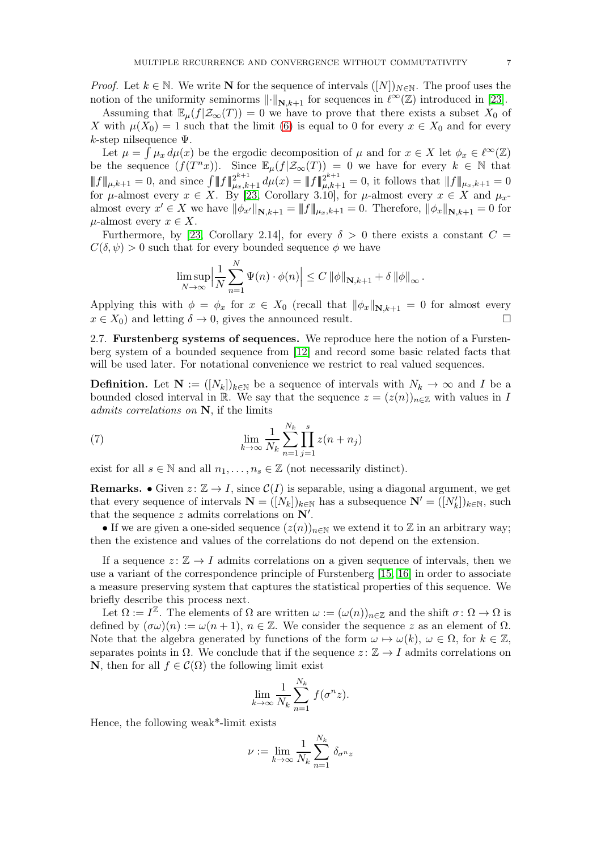*Proof.* Let  $k \in \mathbb{N}$ . We write **N** for the sequence of intervals  $([N])_{N \in \mathbb{N}}$ . The proof uses the notion of the uniformity seminorms  $\lVert \cdot \rVert_{N,k+1}$  for sequences in  $\ell^{\infty}(\mathbb{Z})$  introduced in [\[23\]](#page-19-10).

Assuming that  $\mathbb{E}_{\mu}(f|\mathcal{Z}_{\infty}(T)) = 0$  we have to prove that there exists a subset  $X_0$  of X with  $\mu(X_0) = 1$  such that the limit [\(6\)](#page-5-0) is equal to 0 for every  $x \in X_0$  and for every k-step nilsequence  $\Psi$ .

Let  $\mu = \int \mu_x d\mu(x)$  be the ergodic decomposition of  $\mu$  and for  $x \in X$  let  $\phi_x \in \ell^{\infty}(\mathbb{Z})$ be the sequence  $(f(T^n x))$ . Since  $\mathbb{E}_{\mu}(f|\mathcal{Z}_{\infty}(T)) = 0$  we have for every  $k \in \mathbb{N}$  that  $|| f ||_{\mu,k+1} = 0$ , and since  $\int ||f||_{\mu_x,k+1}^{2^{k+1}} d\mu(x) = ||f||_{\mu,k+1}^{2^{k+1}} = 0$ , it follows that  $||f||_{\mu_x,k+1} = 0$ for  $\mu$ -almost every  $x \in X$ . By [\[23,](#page-19-10) Corollary 3.10], for  $\mu$ -almost every  $x \in X$  and  $\mu_x$ almost every  $x' \in X$  we have  $\|\phi_{x'}\|_{\mathbf{N},k+1} = \|f\|_{\mu_x,k+1} = 0$ . Therefore,  $\|\phi_x\|_{\mathbf{N},k+1} = 0$  for  $\mu$ -almost every  $x \in X$ .

Furthermore, by [\[23,](#page-19-10) Corollary 2.14], for every  $\delta > 0$  there exists a constant  $C =$  $C(\delta, \psi) > 0$  such that for every bounded sequence  $\phi$  we have

$$
\limsup_{N \to \infty} \left| \frac{1}{N} \sum_{n=1}^{N} \Psi(n) \cdot \phi(n) \right| \leq C \left\| \phi \right\|_{\mathbf{N}, k+1} + \delta \left\| \phi \right\|_{\infty}.
$$

Applying this with  $\phi = \phi_x$  for  $x \in X_0$  (recall that  $\|\phi_x\|_{\mathbf{N},k+1} = 0$  for almost every  $x \in X_0$ ) and letting  $\delta \to 0$  gives the announced result  $x \in X_0$ ) and letting  $\delta \to 0$ , gives the announced result.

2.7. Furstenberg systems of sequences. We reproduce here the notion of a Furstenberg system of a bounded sequence from [\[12\]](#page-19-16) and record some basic related facts that will be used later. For notational convenience we restrict to real valued sequences.

**Definition.** Let  $N := (N_k)_{k \in \mathbb{N}}$  be a sequence of intervals with  $N_k \to \infty$  and I be a bounded closed interval in R. We say that the sequence  $z = (z(n))_{n \in \mathbb{Z}}$  with values in I admits correlations on N, if the limits

(7) 
$$
\lim_{k \to \infty} \frac{1}{N_k} \sum_{n=1}^{N_k} \prod_{j=1}^{s} z(n + n_j)
$$

exist for all  $s \in \mathbb{N}$  and all  $n_1, \ldots, n_s \in \mathbb{Z}$  (not necessarily distinct).

**Remarks.** • Given  $z: \mathbb{Z} \to I$ , since  $\mathcal{C}(I)$  is separable, using a diagonal argument, we get that every sequence of intervals  $\mathbf{N} = ([N_k])_{k \in \mathbb{N}}$  has a subsequence  $\mathbf{N}' = ([N'_k])_{k \in \mathbb{N}}$ , such that the sequence  $z$  admits correlations on  $\mathbf{N}'$ .

• If we are given a one-sided sequence  $(z(n))_{n\in\mathbb{N}}$  we extend it to Z in an arbitrary way; then the existence and values of the correlations do not depend on the extension.

If a sequence  $z: \mathbb{Z} \to I$  admits correlations on a given sequence of intervals, then we use a variant of the correspondence principle of Furstenberg [\[15,](#page-19-17) [16\]](#page-19-3) in order to associate a measure preserving system that captures the statistical properties of this sequence. We briefly describe this process next.

Let  $\Omega := I^{\mathbb{Z}}$ . The elements of  $\Omega$  are written  $\omega := (\omega(n))_{n \in \mathbb{Z}}$  and the shift  $\sigma \colon \Omega \to \Omega$  is defined by  $(\sigma\omega)(n) := \omega(n+1)$ ,  $n \in \mathbb{Z}$ . We consider the sequence z as an element of  $\Omega$ . Note that the algebra generated by functions of the form  $\omega \mapsto \omega(k)$ ,  $\omega \in \Omega$ , for  $k \in \mathbb{Z}$ , separates points in  $\Omega$ . We conclude that if the sequence  $z: \mathbb{Z} \to I$  admits correlations on **N**, then for all  $f \in \mathcal{C}(\Omega)$  the following limit exist

$$
\lim_{k \to \infty} \frac{1}{N_k} \sum_{n=1}^{N_k} f(\sigma^n z).
$$

Hence, the following weak\*-limit exists

$$
\nu := \lim_{k \to \infty} \frac{1}{N_k} \sum_{n=1}^{N_k} \delta_{\sigma^n z}
$$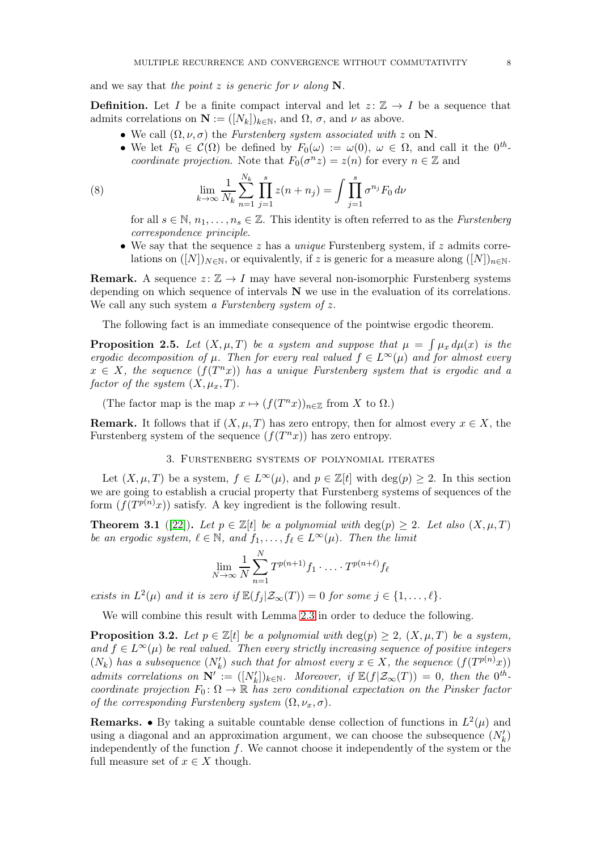and we say that the point z is generic for  $\nu$  along N.

**Definition.** Let I be a finite compact interval and let  $z: \mathbb{Z} \to I$  be a sequence that admits correlations on  $\mathbf{N} := ([N_k])_{k \in \mathbb{N}}$ , and  $\Omega$ ,  $\sigma$ , and  $\nu$  as above.

- We call  $(\Omega, \nu, \sigma)$  the *Furstenberg system associated with* z on **N**.
	- We let  $F_0 \in \mathcal{C}(\Omega)$  be defined by  $F_0(\omega) := \omega(0)$ ,  $\omega \in \Omega$ , and call it the  $0^{th}$ coordinate projection. Note that  $F_0(\sigma^n z) = z(n)$  for every  $n \in \mathbb{Z}$  and

(8) 
$$
\lim_{k \to \infty} \frac{1}{N_k} \sum_{n=1}^{N_k} \prod_{j=1}^s z(n+n_j) = \int \prod_{j=1}^s \sigma^{n_j} F_0 d\nu
$$

<span id="page-7-2"></span>for all  $s \in \mathbb{N}, n_1, \ldots, n_s \in \mathbb{Z}$ . This identity is often referred to as the *Furstenberg* correspondence principle.

• We say that the sequence z has a *unique* Furstenberg system, if z admits correlations on  $([N])_{N\in\mathbb{N}}$ , or equivalently, if z is generic for a measure along  $([N])_{n\in\mathbb{N}}$ .

**Remark.** A sequence  $z: \mathbb{Z} \to I$  may have several non-isomorphic Furstenberg systems depending on which sequence of intervals  $N$  we use in the evaluation of its correlations. We call any such system a Furstenberg system of  $z$ .

The following fact is an immediate consequence of the pointwise ergodic theorem.

<span id="page-7-3"></span>**Proposition 2.5.** Let  $(X, \mu, T)$  be a system and suppose that  $\mu = \int \mu_x d\mu(x)$  is the ergodic decomposition of  $\mu$ . Then for every real valued  $f \in L^{\infty}(\mu)$  and for almost every  $x \in X$ , the sequence  $(f(T^n x))$  has a unique Furstenberg system that is ergodic and a factor of the system  $(X, \mu_x, T)$ .

(The factor map is the map  $x \mapsto (f(T^n x))_{n \in \mathbb{Z}}$  from X to  $\Omega$ .)

**Remark.** It follows that if  $(X, \mu, T)$  has zero entropy, then for almost every  $x \in X$ , the Furstenberg system of the sequence  $(f(T^n x))$  has zero entropy.

3. Furstenberg systems of polynomial iterates

Let  $(X, \mu, T)$  be a system,  $f \in L^{\infty}(\mu)$ , and  $p \in \mathbb{Z}[t]$  with  $\deg(p) \geq 2$ . In this section we are going to establish a crucial property that Furstenberg systems of sequences of the form  $(f(T^{p(n)}x))$  satisfy. A key ingredient is the following result.

<span id="page-7-1"></span>**Theorem 3.1** ([\[22\]](#page-19-18)). Let  $p \in \mathbb{Z}[t]$  be a polynomial with  $\deg(p) \geq 2$ . Let also  $(X, \mu, T)$ be an ergodic system,  $\ell \in \mathbb{N}$ , and  $f_1, \ldots, f_\ell \in L^\infty(\mu)$ . Then the limit

$$
\lim_{N \to \infty} \frac{1}{N} \sum_{n=1}^{N} T^{p(n+1)} f_1 \cdot \ldots \cdot T^{p(n+\ell)} f_{\ell}
$$

exists in  $L^2(\mu)$  and it is zero if  $\mathbb{E}(f_j | \mathcal{Z}_{\infty}(T)) = 0$  for some  $j \in \{1, ..., \ell\}$ .

We will combine this result with Lemma [2.3](#page-4-2) in order to deduce the following.

<span id="page-7-0"></span>**Proposition 3.2.** Let  $p \in \mathbb{Z}[t]$  be a polynomial with  $\deg(p) \geq 2$ ,  $(X, \mu, T)$  be a system, and  $f \in L^{\infty}(\mu)$  be real valued. Then every strictly increasing sequence of positive integers  $(N_k)$  has a subsequence  $(N'_k)$  such that for almost every  $x \in X$ , the sequence  $(f(T^{p(n)}x))$ admits correlations on  $\mathbf{N}' := ([N'_k])_{k \in \mathbb{N}}$ . Moreover, if  $\mathbb{E}(f|\mathcal{Z}_{\infty}(T)) = 0$ , then the  $0^{th}$ coordinate projection  $F_0: \Omega \to \mathbb{R}$  has zero conditional expectation on the Pinsker factor of the corresponding Furstenberg system  $(\Omega, \nu_x, \sigma)$ .

**Remarks.** • By taking a suitable countable dense collection of functions in  $L^2(\mu)$  and using a diagonal and an approximation argument, we can choose the subsequence  $(N'_k)$ independently of the function  $f$ . We cannot choose it independently of the system or the full measure set of  $x \in X$  though.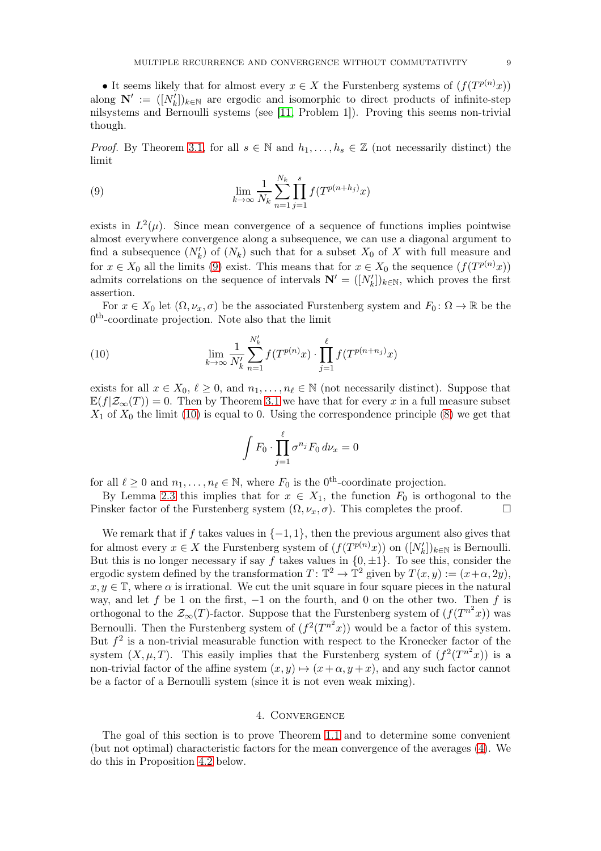• It seems likely that for almost every  $x \in X$  the Furstenberg systems of  $(f(T^{p(n)}x))$ along  $\mathbf{N}' := ([N'_k])_{k \in \mathbb{N}}$  are ergodic and isomorphic to direct products of infinite-step nilsystems and Bernoulli systems (see [\[11,](#page-19-5) Problem 1]). Proving this seems non-trivial though.

*Proof.* By Theorem [3.1,](#page-7-1) for all  $s \in \mathbb{N}$  and  $h_1, \ldots, h_s \in \mathbb{Z}$  (not necessarily distinct) the limit

<span id="page-8-0"></span>(9) 
$$
\lim_{k \to \infty} \frac{1}{N_k} \sum_{n=1}^{N_k} \prod_{j=1}^{s} f(T^{p(n+h_j)}x)
$$

exists in  $L^2(\mu)$ . Since mean convergence of a sequence of functions implies pointwise almost everywhere convergence along a subsequence, we can use a diagonal argument to find a subsequence  $(N'_k)$  of  $(N_k)$  such that for a subset  $X_0$  of X with full measure and for  $x \in X_0$  all the limits [\(9\)](#page-8-0) exist. This means that for  $x \in X_0$  the sequence  $(f(T^{p(n)}x))$ admits correlations on the sequence of intervals  $\mathbf{N}' = ([N'_k])_{k \in \mathbb{N}}$ , which proves the first assertion.

For  $x \in X_0$  let  $(\Omega, \nu_x, \sigma)$  be the associated Furstenberg system and  $F_0: \Omega \to \mathbb{R}$  be the 0<sup>th</sup>-coordinate projection. Note also that the limit

(10) 
$$
\lim_{k \to \infty} \frac{1}{N'_k} \sum_{n=1}^{N'_k} f(T^{p(n)}x) \cdot \prod_{j=1}^{\ell} f(T^{p(n+n_j)}x)
$$

exists for all  $x \in X_0$ ,  $\ell \geq 0$ , and  $n_1, \ldots, n_\ell \in \mathbb{N}$  (not necessarily distinct). Suppose that  $\mathbb{E}(f|\mathcal{Z}_{\infty}(T)) = 0$ . Then by Theorem [3.1](#page-7-1) we have that for every x in a full measure subset  $X_1$  of  $X_0$  the limit [\(10\)](#page-8-1) is equal to 0. Using the correspondence principle [\(8\)](#page-7-2) we get that

<span id="page-8-1"></span>
$$
\int F_0 \cdot \prod_{j=1}^{\ell} \sigma^{n_j} F_0 \, d\nu_x = 0
$$

for all  $\ell \geq 0$  and  $n_1, \ldots, n_\ell \in \mathbb{N}$ , where  $F_0$  is the  $0^{\text{th}}$ -coordinate projection.

By Lemma [2.3](#page-4-2) this implies that for  $x \in X_1$ , the function  $F_0$  is orthogonal to the Pinsker factor of the Furstenberg system  $(\Omega, \nu_x, \sigma)$ . This completes the proof.

We remark that if f takes values in  $\{-1, 1\}$ , then the previous argument also gives that for almost every  $x \in X$  the Furstenberg system of  $(f(T^{p(n)}x))$  on  $([N'_k])_{k \in \mathbb{N}}$  is Bernoulli. But this is no longer necessary if say f takes values in  $\{0, \pm 1\}$ . To see this, consider the ergodic system defined by the transformation  $T: \mathbb{T}^2 \to \mathbb{T}^2$  given by  $T(x, y) := (x + \alpha, 2y)$ ,  $x, y \in \mathbb{T}$ , where  $\alpha$  is irrational. We cut the unit square in four square pieces in the natural way, and let f be 1 on the first,  $-1$  on the fourth, and 0 on the other two. Then f is orthogonal to the  $\mathcal{Z}_{\infty}(T)$ -factor. Suppose that the Furstenberg system of  $(f(T^{n^2}x))$  was Bernoulli. Then the Furstenberg system of  $(f^2(T^{n^2}x))$  would be a factor of this system. But  $f^2$  is a non-trivial measurable function with respect to the Kronecker factor of the system  $(X, \mu, T)$ . This easily implies that the Furstenberg system of  $(f^2(T^{n^2}x))$  is a non-trivial factor of the affine system  $(x, y) \mapsto (x + \alpha, y + x)$ , and any such factor cannot be a factor of a Bernoulli system (since it is not even weak mixing).

# 4. Convergence

The goal of this section is to prove Theorem [1.1](#page-1-3) and to determine some convenient (but not optimal) characteristic factors for the mean convergence of the averages [\(4\)](#page-1-2). We do this in Proposition [4.2](#page-10-0) below.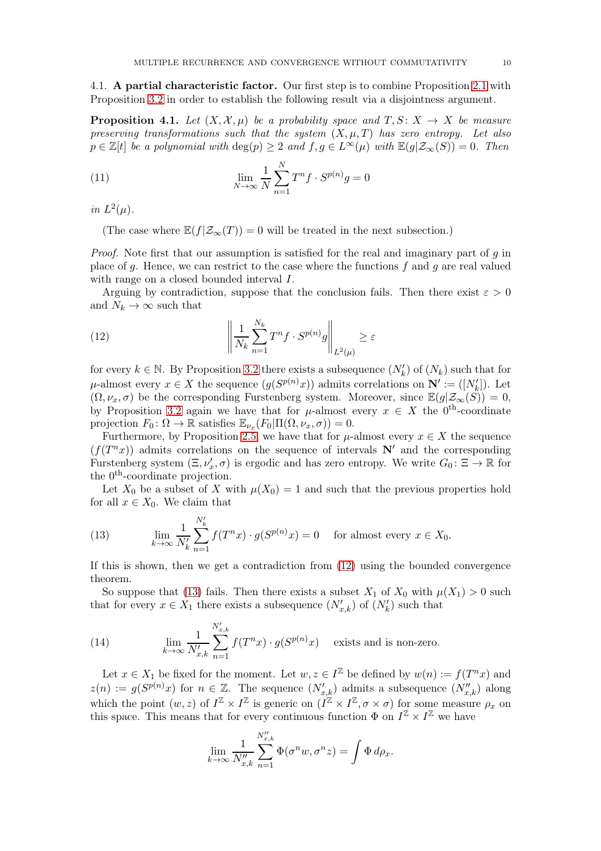4.1. A partial characteristic factor. Our first step is to combine Proposition [2.1](#page-4-0) with Proposition [3.2](#page-7-0) in order to establish the following result via a disjointness argument.

<span id="page-9-0"></span>**Proposition 4.1.** Let  $(X, \mathcal{X}, \mu)$  be a probability space and  $T, S: X \rightarrow X$  be measure preserving transformations such that the system  $(X, \mu, T)$  has zero entropy. Let also  $p \in \mathbb{Z}[t]$  be a polynomial with  $\deg(p) \geq 2$  and  $f, g \in L^{\infty}(\mu)$  with  $\mathbb{E}(g|\mathcal{Z}_{\infty}(S)) = 0$ . Then

(11) 
$$
\lim_{N \to \infty} \frac{1}{N} \sum_{n=1}^{N} T^n f \cdot S^{p(n)} g = 0
$$

in  $L^2(\mu)$ .

(The case where  $\mathbb{E}(f|\mathcal{Z}_{\infty}(T)) = 0$  will be treated in the next subsection.)

*Proof.* Note first that our assumption is satisfied for the real and imaginary part of  $q$  in place of g. Hence, we can restrict to the case where the functions f and g are real valued with range on a closed bounded interval  $I$ .

Arguing by contradiction, suppose that the conclusion fails. Then there exist  $\varepsilon > 0$ and  $N_k \to \infty$  such that

<span id="page-9-1"></span>(12) 
$$
\left\| \frac{1}{N_k} \sum_{n=1}^{N_k} T^n f \cdot S^{p(n)} g \right\|_{L^2(\mu)} \ge \varepsilon
$$

for every  $k \in \mathbb{N}$ . By Proposition [3.2](#page-7-0) there exists a subsequence  $(N'_k)$  of  $(N_k)$  such that for  $\mu$ -almost every  $x \in X$  the sequence  $(g(S^{p(n)}x))$  admits correlations on  $\mathbb{N}' := ([N'_k])$ . Let  $(\Omega, \nu_x, \sigma)$  be the corresponding Furstenberg system. Moreover, since  $\mathbb{E}(g|\mathcal{Z}_{\infty}(S)) = 0$ , by Proposition [3.2](#page-7-0) again we have that for  $\mu$ -almost every  $x \in X$  the 0<sup>th</sup>-coordinate projection  $F_0: \Omega \to \mathbb{R}$  satisfies  $\mathbb{E}_{\nu_x}(F_0|\Pi(\Omega, \nu_x, \sigma)) = 0.$ 

Furthermore, by Proposition [2.5,](#page-7-3) we have that for  $\mu$ -almost every  $x \in X$  the sequence  $(f(T^n x))$  admits correlations on the sequence of intervals  $N'$  and the corresponding Furstenberg system  $(\Xi, \nu'_x, \sigma)$  is ergodic and has zero entropy. We write  $G_0: \Xi \to \mathbb{R}$  for the 0<sup>th</sup>-coordinate projection.

Let  $X_0$  be a subset of X with  $\mu(X_0) = 1$  and such that the previous properties hold for all  $x \in X_0$ . We claim that

<span id="page-9-2"></span>(13) 
$$
\lim_{k \to \infty} \frac{1}{N'_k} \sum_{n=1}^{N'_k} f(T^n x) \cdot g(S^{p(n)} x) = 0 \quad \text{for almost every } x \in X_0.
$$

If this is shown, then we get a contradiction from [\(12\)](#page-9-1) using the bounded convergence theorem.

So suppose that [\(13\)](#page-9-2) fails. Then there exists a subset  $X_1$  of  $X_0$  with  $\mu(X_1) > 0$  such that for every  $x \in X_1$  there exists a subsequence  $(N'_{x,k})$  of  $(N'_{k})$  such that

<span id="page-9-3"></span>(14) 
$$
\lim_{k \to \infty} \frac{1}{N'_{x,k}} \sum_{n=1}^{N'_{x,k}} f(T^n x) \cdot g(S^{p(n)} x)
$$
 exists and is non-zero.

Let  $x \in X_1$  be fixed for the moment. Let  $w, z \in I^{\mathbb{Z}}$  be defined by  $w(n) := f(T^n x)$  and  $z(n) := g(S^{p(n)}x)$  for  $n \in \mathbb{Z}$ . The sequence  $(N'_{x,k})$  admits a subsequence  $(N''_{x,k})$  along which the point  $(w, z)$  of  $I^{\mathbb{Z}} \times I^{\mathbb{Z}}$  is generic on  $(I^{\mathbb{Z}} \times I^{\mathbb{Z}}, \sigma \times \sigma)$  for some measure  $\rho_x$  on this space. This means that for every continuous function  $\Phi$  on  $I^{\mathbb{Z}} \times I^{\mathbb{Z}}$  we have

$$
\lim_{k \to \infty} \frac{1}{N_{x,k}''} \sum_{n=1}^{N_{x,k}''} \Phi(\sigma^n w, \sigma^n z) = \int \Phi d\rho_x.
$$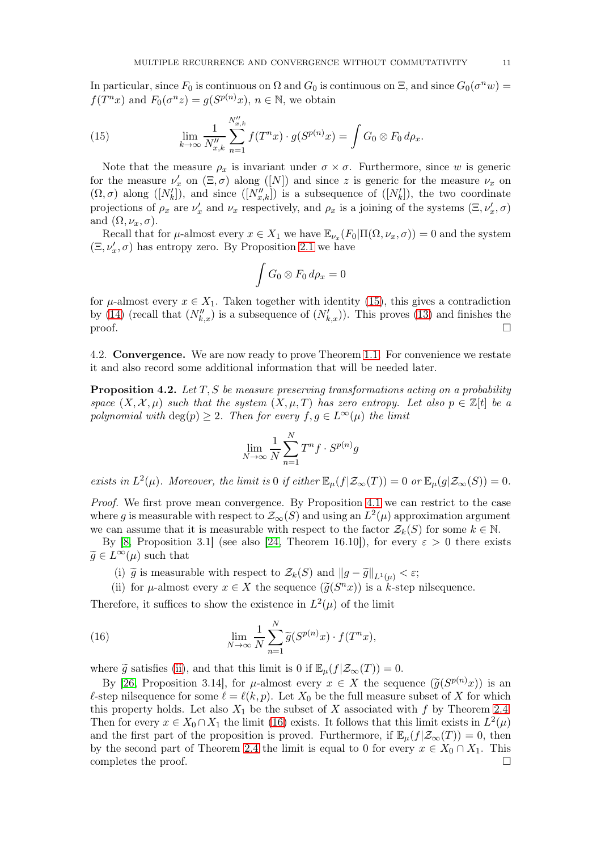In particular, since  $F_0$  is continuous on  $\Omega$  and  $G_0$  is continuous on  $\Xi$ , and since  $G_0(\sigma^n w) =$  $f(T^n x)$  and  $F_0(\sigma^n z) = g(S^{p(n)} x)$ ,  $n \in \mathbb{N}$ , we obtain

<span id="page-10-1"></span>(15) 
$$
\lim_{k \to \infty} \frac{1}{N_{x,k}''} \sum_{n=1}^{N_{x,k}''} f(T^n x) \cdot g(S^{p(n)} x) = \int G_0 \otimes F_0 d\rho_x.
$$

Note that the measure  $\rho_x$  is invariant under  $\sigma \times \sigma$ . Furthermore, since w is generic for the measure  $\nu'_x$  on  $(\Xi, \sigma)$  along  $([N])$  and since z is generic for the measure  $\nu_x$  on  $(\Omega, \sigma)$  along  $([N'_k])$ , and since  $([N''_{x,k}])$  is a subsequence of  $([N'_k])$ , the two coordinate projections of  $\rho_x$  are  $\nu'_x$  and  $\nu_x$  respectively, and  $\rho_x$  is a joining of the systems  $(\Xi, \nu'_x, \sigma)$ and  $(\Omega, \nu_x, \sigma)$ .

Recall that for  $\mu$ -almost every  $x \in X_1$  we have  $\mathbb{E}_{\nu_x}(F_0|\Pi(\Omega, \nu_x, \sigma)) = 0$  and the system  $(\Xi, \nu_x', \sigma)$  has entropy zero. By Proposition [2.1](#page-4-0) we have

$$
\int G_0\otimes F_0\,d\rho_x=0
$$

for  $\mu$ -almost every  $x \in X_1$ . Taken together with identity [\(15\)](#page-10-1), this gives a contradiction by [\(14\)](#page-9-3) (recall that  $(N''_{k,x})$  is a subsequence of  $(N'_{k,x})$ ). This proves [\(13\)](#page-9-2) and finishes the proof.  $\Box$ 

4.2. Convergence. We are now ready to prove Theorem [1.1.](#page-1-3) For convenience we restate it and also record some additional information that will be needed later.

<span id="page-10-0"></span>**Proposition 4.2.** Let  $T, S$  be measure preserving transformations acting on a probability space  $(X, \mathcal{X}, \mu)$  such that the system  $(X, \mu, T)$  has zero entropy. Let also  $p \in \mathbb{Z}[t]$  be a polynomial with deg(p)  $\geq$  2. Then for every  $f, g \in L^{\infty}(\mu)$  the limit

$$
\lim_{N \to \infty} \frac{1}{N} \sum_{n=1}^{N} T^n f \cdot S^{p(n)} g
$$

exists in  $L^2(\mu)$ . Moreover, the limit is 0 if either  $\mathbb{E}_{\mu}(f|\mathcal{Z}_{\infty}(T)) = 0$  or  $\mathbb{E}_{\mu}(g|\mathcal{Z}_{\infty}(S)) = 0$ .

Proof. We first prove mean convergence. By Proposition [4.1](#page-9-0) we can restrict to the case where g is measurable with respect to  $\mathcal{Z}_{\infty}(S)$  and using an  $L^2(\mu)$  approximation argument we can assume that it is measurable with respect to the factor  $\mathcal{Z}_k(S)$  for some  $k \in \mathbb{N}$ .

By [\[8,](#page-19-7) Proposition 3.1] (see also [\[24,](#page-19-11) Theorem 16.10]), for every  $\varepsilon > 0$  there exists  $\widetilde{g} \in L^{\infty}(\mu)$  such that

- (i)  $\tilde{g}$  is measurable with respect to  $\mathcal{Z}_k(S)$  and  $||g \tilde{g}||_{L^1(\mu)} < \varepsilon$ ;
- <span id="page-10-3"></span><span id="page-10-2"></span>(ii) for  $\mu$ -almost every  $x \in X$  the sequence  $(\widetilde{g}(S^n x))$  is a  $\widetilde{k}$ -step nilsequence.

Therefore, it suffices to show the existence in  $L^2(\mu)$  of the limit

(16) 
$$
\lim_{N \to \infty} \frac{1}{N} \sum_{n=1}^{N} \widetilde{g}(S^{p(n)}x) \cdot f(T^{n}x),
$$

where  $\tilde{g}$  satisfies [\(ii\)](#page-10-2), and that this limit is 0 if  $\mathbb{E}_{\mu}(f|\mathcal{Z}_{\infty}(T)) = 0$ .

By [\[26,](#page-19-19) Proposition 3.14], for  $\mu$ -almost every  $x \in X$  the sequence  $(\tilde{g}(S^{p(n)}x))$  is an  $\ell$ -step nilsequence for some  $\ell = \ell(k, p)$ . Let  $X_0$  be the full measure subset of X for which this property holds. Let also  $X_1$  be the subset of X associated with f by Theorem [2.4.](#page-5-1) Then for every  $x \in X_0 \cap X_1$  the limit [\(16\)](#page-10-3) exists. It follows that this limit exists in  $L^2(\mu)$ and the first part of the proposition is proved. Furthermore, if  $\mathbb{E}_{\mu}(f|\mathcal{Z}_{\infty}(T)) = 0$ , then by the second part of Theorem [2.4](#page-5-1) the limit is equal to 0 for every  $x \in X_0 \cap X_1$ . This completes the proof.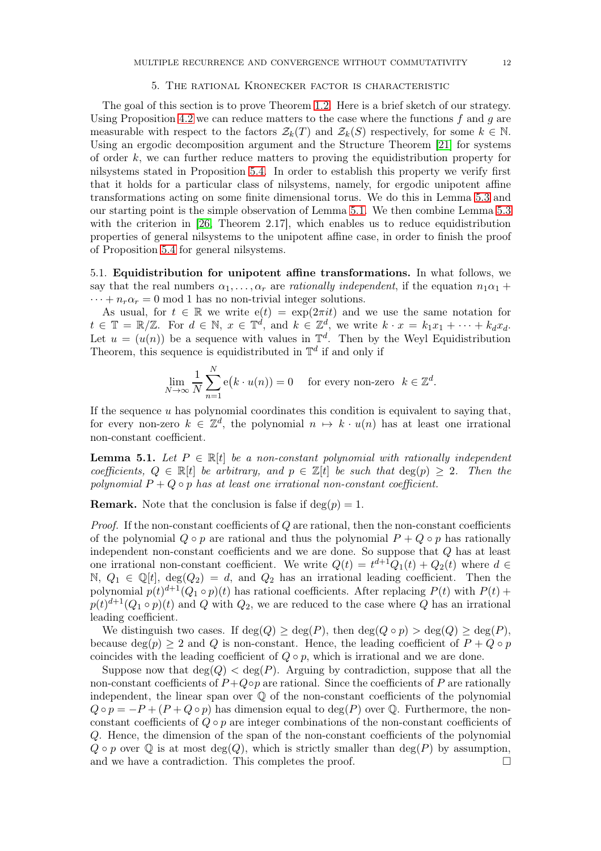### 5. The rational Kronecker factor is characteristic

The goal of this section is to prove Theorem [1.2.](#page-1-5) Here is a brief sketch of our strategy. Using Proposition [4.2](#page-10-0) we can reduce matters to the case where the functions f and g are measurable with respect to the factors  $\mathcal{Z}_k(T)$  and  $\mathcal{Z}_k(S)$  respectively, for some  $k \in \mathbb{N}$ . Using an ergodic decomposition argument and the Structure Theorem [\[21\]](#page-19-9) for systems of order  $k$ , we can further reduce matters to proving the equidistribution property for nilsystems stated in Proposition [5.4.](#page-13-0) In order to establish this property we verify first that it holds for a particular class of nilsystems, namely, for ergodic unipotent affine transformations acting on some finite dimensional torus. We do this in Lemma [5.3](#page-13-1) and our starting point is the simple observation of Lemma [5.1.](#page-11-0) We then combine Lemma [5.3](#page-13-1) with the criterion in [\[26,](#page-19-19) Theorem 2.17], which enables us to reduce equidistribution properties of general nilsystems to the unipotent affine case, in order to finish the proof of Proposition [5.4](#page-13-0) for general nilsystems.

5.1. Equidistribution for unipotent affine transformations. In what follows, we say that the real numbers  $\alpha_1, \ldots, \alpha_r$  are *rationally independent*, if the equation  $n_1\alpha_1 +$  $\cdots + n_r \alpha_r = 0$  mod 1 has no non-trivial integer solutions.

As usual, for  $t \in \mathbb{R}$  we write  $e(t) = \exp(2\pi i t)$  and we use the same notation for  $t \in \mathbb{T} = \mathbb{R}/\mathbb{Z}$ . For  $d \in \mathbb{N}$ ,  $x \in \mathbb{T}^d$ , and  $k \in \mathbb{Z}^d$ , we write  $k \cdot x = k_1x_1 + \cdots + k_dx_d$ . Let  $u = (u(n))$  be a sequence with values in  $\mathbb{T}^d$ . Then by the Weyl Equidistribution Theorem, this sequence is equidistributed in  $\mathbb{T}^d$  if and only if

$$
\lim_{N \to \infty} \frac{1}{N} \sum_{n=1}^{N} \mathbf{e}(k \cdot u(n)) = 0 \quad \text{for every non-zero} \quad k \in \mathbb{Z}^d.
$$

If the sequence  $u$  has polynomial coordinates this condition is equivalent to saying that, for every non-zero  $k \in \mathbb{Z}^d$ , the polynomial  $n \mapsto k \cdot u(n)$  has at least one irrational non-constant coefficient.

<span id="page-11-0"></span>**Lemma 5.1.** Let  $P \in \mathbb{R}[t]$  be a non-constant polynomial with rationally independent coefficients,  $Q \in \mathbb{R}[t]$  be arbitrary, and  $p \in \mathbb{Z}[t]$  be such that  $deg(p) \geq 2$ . Then the polynomial  $P + Q \circ p$  has at least one irrational non-constant coefficient.

**Remark.** Note that the conclusion is false if  $deg(p) = 1$ .

*Proof.* If the non-constant coefficients of  $Q$  are rational, then the non-constant coefficients of the polynomial  $Q \circ p$  are rational and thus the polynomial  $P + Q \circ p$  has rationally independent non-constant coefficients and we are done. So suppose that Q has at least one irrational non-constant coefficient. We write  $Q(t) = t^{d+1}Q_1(t) + Q_2(t)$  where  $d \in$ N,  $Q_1 \in \mathbb{Q}[t]$ ,  $\deg(Q_2) = d$ , and  $Q_2$  has an irrational leading coefficient. Then the polynomial  $p(t)^{d+1}(Q_1 \circ p)(t)$  has rational coefficients. After replacing  $P(t)$  with  $P(t)$  +  $p(t)^{d+1}(Q_1 \circ p)(t)$  and Q with  $Q_2$ , we are reduced to the case where Q has an irrational leading coefficient.

We distinguish two cases. If  $\deg(Q) \geq \deg(P)$ , then  $\deg(Q \circ p) > \deg(Q) \geq \deg(P)$ , because deg(p)  $\geq 2$  and Q is non-constant. Hence, the leading coefficient of  $P + Q \circ p$ coincides with the leading coefficient of  $Q \circ p$ , which is irrational and we are done.

Suppose now that  $deg(Q) < deg(P)$ . Arguing by contradiction, suppose that all the non-constant coefficients of  $P+Q\circ p$  are rational. Since the coefficients of P are rationally independent, the linear span over  $\mathbb Q$  of the non-constant coefficients of the polynomial  $Q \circ p = -P + (P + Q \circ p)$  has dimension equal to deg(P) over Q. Furthermore, the nonconstant coefficients of  $Q \circ p$  are integer combinations of the non-constant coefficients of Q. Hence, the dimension of the span of the non-constant coefficients of the polynomial  $Q \circ p$  over  $\mathbb Q$  is at most deg(Q), which is strictly smaller than deg(P) by assumption, and we have a contradiction. This completes the proof.  $\Box$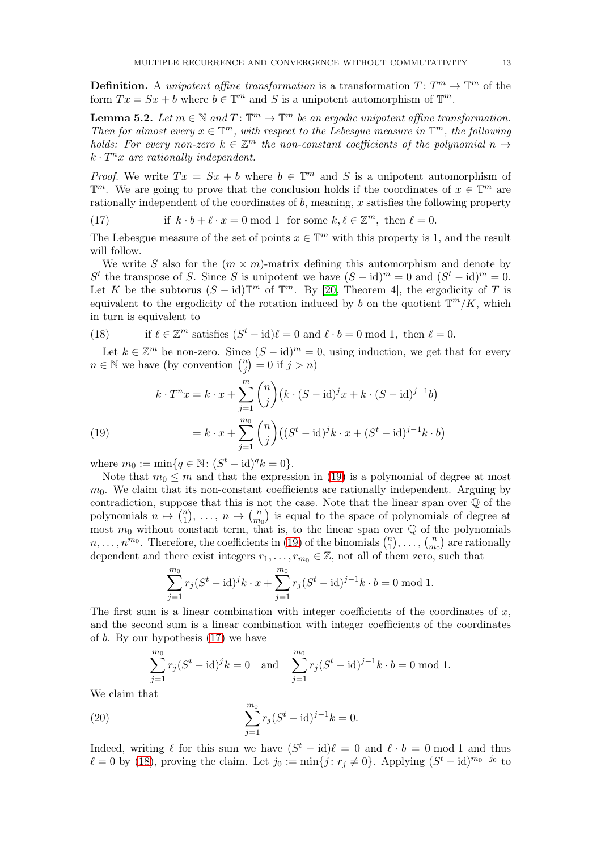**Definition.** A unipotent affine transformation is a transformation  $T: T^m \to \mathbb{T}^m$  of the form  $Tx = Sx + b$  where  $b \in \mathbb{T}^m$  and S is a unipotent automorphism of  $\mathbb{T}^m$ .

<span id="page-12-4"></span>**Lemma 5.2.** Let  $m \in \mathbb{N}$  and  $T: \mathbb{T}^m \to \mathbb{T}^m$  be an ergodic unipotent affine transformation. Then for almost every  $x \in \mathbb{T}^m$ , with respect to the Lebesgue measure in  $\mathbb{T}^m$ , the following holds: For every non-zero  $k \in \mathbb{Z}^m$  the non-constant coefficients of the polynomial  $n \mapsto$  $k \cdot T^n x$  are rationally independent.

*Proof.* We write  $Tx = Sx + b$  where  $b \in \mathbb{T}^m$  and S is a unipotent automorphism of  $\mathbb{T}^m$ . We are going to prove that the conclusion holds if the coordinates of  $x \in \mathbb{T}^m$  are rationally independent of the coordinates of  $b$ , meaning, x satisfies the following property

<span id="page-12-1"></span>(17) if 
$$
k \cdot b + \ell \cdot x = 0 \mod 1
$$
 for some  $k, \ell \in \mathbb{Z}^m$ , then  $\ell = 0$ .

The Lebesgue measure of the set of points  $x \in \mathbb{T}^m$  with this property is 1, and the result will follow.

We write S also for the  $(m \times m)$ -matrix defining this automorphism and denote by  $S<sup>t</sup>$  the transpose of S. Since S is unipotent we have  $(S - id)<sup>m</sup> = 0$  and  $(S<sup>t</sup> - id)<sup>m</sup> = 0$ . Let K be the subtorus  $(S - id)\mathbb{T}^m$  of  $\mathbb{T}^m$ . By [\[20,](#page-19-20) Theorem 4], the ergodicity of T is equivalent to the ergodicity of the rotation induced by b on the quotient  $\mathbb{T}^{m}/K$ , which in turn is equivalent to

<span id="page-12-2"></span>(18) if 
$$
\ell \in \mathbb{Z}^m
$$
 satisfies  $(S^t - id)\ell = 0$  and  $\ell \cdot b = 0$  mod 1, then  $\ell = 0$ .

Let  $k \in \mathbb{Z}^m$  be non-zero. Since  $(S - id)^m = 0$ , using induction, we get that for every  $n \in \mathbb{N}$  we have (by convention  $\binom{n}{i}$  $\binom{n}{j} = 0$  if  $j > n$ )

(19)  

$$
k \cdot T^n x = k \cdot x + \sum_{j=1}^m {n \choose j} (k \cdot (S - \mathrm{id})^j x + k \cdot (S - \mathrm{id})^{j-1} b)
$$

$$
= k \cdot x + \sum_{j=1}^{m_0} {n \choose j} ((S^t - \mathrm{id})^j k \cdot x + (S^t - \mathrm{id})^{j-1} k \cdot b)
$$

<span id="page-12-0"></span>where  $m_0 := \min\{q \in \mathbb{N} : (S^t - id)^q k = 0\}.$ 

Note that  $m_0 \leq m$  and that the expression in [\(19\)](#page-12-0) is a polynomial of degree at most  $m<sub>0</sub>$ . We claim that its non-constant coefficients are rationally independent. Arguing by contradiction, suppose that this is not the case. Note that the linear span over Q of the polynomials  $n \mapsto \binom{n}{1}$  $\binom{n}{1}, \ldots, n \mapsto \binom{n}{m}$  $\binom{n}{m_0}$  is equal to the space of polynomials of degree at most  $m_0$  without constant term, that is, to the linear span over  $\mathbb Q$  of the polynomials  $n, \ldots, n^{m_0}$ . Therefore, the coefficients in [\(19\)](#page-12-0) of the binomials  $\binom{n}{1}$  $\binom{n}{1}, \ldots, \binom{n}{m}$  $\binom{n}{m_0}$  are rationally dependent and there exist integers  $r_1, \ldots, r_{m_0} \in \mathbb{Z}$ , not all of them zero, such that

$$
\sum_{j=1}^{m_0} r_j (S^t - \mathrm{id})^j k \cdot x + \sum_{j=1}^{m_0} r_j (S^t - \mathrm{id})^{j-1} k \cdot b = 0 \mod 1.
$$

The first sum is a linear combination with integer coefficients of the coordinates of  $x$ , and the second sum is a linear combination with integer coefficients of the coordinates of b. By our hypothesis [\(17\)](#page-12-1) we have

<span id="page-12-3"></span>
$$
\sum_{j=1}^{m_0} r_j (S^t - id)^j k = 0 \text{ and } \sum_{j=1}^{m_0} r_j (S^t - id)^{j-1} k \cdot b = 0 \text{ mod } 1.
$$

We claim that

(20) 
$$
\sum_{j=1}^{m_0} r_j (S^t - id)^{j-1} k = 0.
$$

Indeed, writing  $\ell$  for this sum we have  $(S^t - id)\ell = 0$  and  $\ell \cdot b = 0$  mod 1 and thus  $\ell = 0$  by [\(18\)](#page-12-2), proving the claim. Let  $j_0 := \min\{j : r_j \neq 0\}$ . Applying  $(S^t - id)^{m_0 - j_0}$  to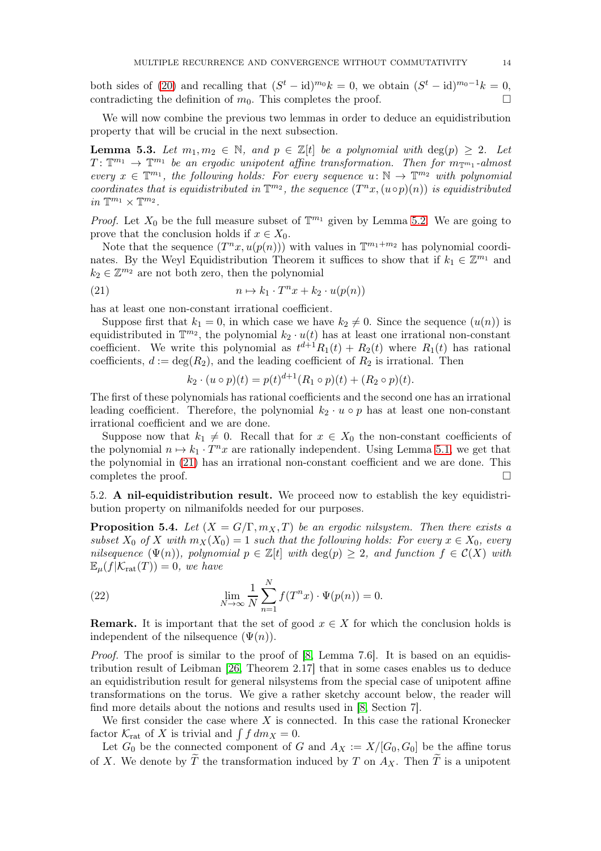both sides of [\(20\)](#page-12-3) and recalling that  $(S^t - id)^{m_0} k = 0$ , we obtain  $(S^t - id)^{m_0-1} k = 0$ , contradicting the definition of  $m_0$ . This completes the proof.

We will now combine the previous two lemmas in order to deduce an equidistribution property that will be crucial in the next subsection.

<span id="page-13-1"></span>**Lemma 5.3.** Let  $m_1, m_2 \in \mathbb{N}$ , and  $p \in \mathbb{Z}[t]$  be a polynomial with  $\deg(p) \geq 2$ . Let  $T: \mathbb{T}^{m_1} \to \mathbb{T}^{m_1}$  be an ergodic unipotent affine transformation. Then for  $m_{\mathbb{T}^{m_1}}$ -almost every  $x \in \mathbb{T}^{m_1}$ , the following holds: For every sequence  $u: \mathbb{N} \to \mathbb{T}^{m_2}$  with polynomial coordinates that is equidistributed in  $\mathbb{T}^{m_2}$ , the sequence  $(T^n x, (u \circ p)(n))$  is equidistributed in  $\mathbb{T}^{m_1} \times \mathbb{T}^{m_2}$ .

*Proof.* Let  $X_0$  be the full measure subset of  $\mathbb{T}^{m_1}$  given by Lemma [5.2.](#page-12-4) We are going to prove that the conclusion holds if  $x \in X_0$ .

Note that the sequence  $(T^n x, u(p(n)))$  with values in  $\mathbb{T}^{m_1+m_2}$  has polynomial coordinates. By the Weyl Equidistribution Theorem it suffices to show that if  $k_1 \in \mathbb{Z}^{m_1}$  and  $k_2 \in \mathbb{Z}^{m_2}$  are not both zero, then the polynomial

(21) 
$$
n \mapsto k_1 \cdot T^n x + k_2 \cdot u(p(n))
$$

has at least one non-constant irrational coefficient.

Suppose first that  $k_1 = 0$ , in which case we have  $k_2 \neq 0$ . Since the sequence  $(u(n))$  is equidistributed in  $\mathbb{T}^{m_2}$ , the polynomial  $k_2 \cdot u(t)$  has at least one irrational non-constant coefficient. We write this polynomial as  $t^{d+1}R_1(t) + R_2(t)$  where  $R_1(t)$  has rational coefficients,  $d := \deg(R_2)$ , and the leading coefficient of  $R_2$  is irrational. Then

<span id="page-13-2"></span>
$$
k_2 \cdot (u \circ p)(t) = p(t)^{d+1} (R_1 \circ p)(t) + (R_2 \circ p)(t).
$$

The first of these polynomials has rational coefficients and the second one has an irrational leading coefficient. Therefore, the polynomial  $k_2 \cdot u \circ p$  has at least one non-constant irrational coefficient and we are done.

Suppose now that  $k_1 \neq 0$ . Recall that for  $x \in X_0$  the non-constant coefficients of the polynomial  $n \mapsto k_1 \cdot T^n x$  are rationally independent. Using Lemma [5.1,](#page-11-0) we get that the polynomial in [\(21\)](#page-13-2) has an irrational non-constant coefficient and we are done. This completes the proof.  $\Box$ 

5.2. A nil-equidistribution result. We proceed now to establish the key equidistribution property on nilmanifolds needed for our purposes.

<span id="page-13-0"></span>**Proposition 5.4.** Let  $(X = G/\Gamma, m_X, T)$  be an ergodic nilsystem. Then there exists a subset  $X_0$  of X with  $m_X(X_0) = 1$  such that the following holds: For every  $x \in X_0$ , every nilsequence  $(\Psi(n))$ , polynomial  $p \in \mathbb{Z}[t]$  with  $\deg(p) \geq 2$ , and function  $f \in \mathcal{C}(X)$  with  $\mathbb{E}_{\mu}(f|\mathcal{K}_{\text{rat}}(T)) = 0$ , we have

(22) 
$$
\lim_{N \to \infty} \frac{1}{N} \sum_{n=1}^{N} f(T^n x) \cdot \Psi(p(n)) = 0.
$$

**Remark.** It is important that the set of good  $x \in X$  for which the conclusion holds is independent of the nilsequence  $(\Psi(n))$ .

Proof. The proof is similar to the proof of [\[8,](#page-19-7) Lemma 7.6]. It is based on an equidistribution result of Leibman [\[26,](#page-19-19) Theorem 2.17] that in some cases enables us to deduce an equidistribution result for general nilsystems from the special case of unipotent affine transformations on the torus. We give a rather sketchy account below, the reader will find more details about the notions and results used in [\[8,](#page-19-7) Section 7].

We first consider the case where  $X$  is connected. In this case the rational Kronecker factor  $\mathcal{K}_{\text{rat}}$  of X is trivial and  $\int f dm_X = 0$ .

Let  $G_0$  be the connected component of G and  $A_X := X/[G_0, G_0]$  be the affine torus of X. We denote by  $\widetilde{T}$  the transformation induced by T on  $A_X$ . Then  $\widetilde{T}$  is a unipotent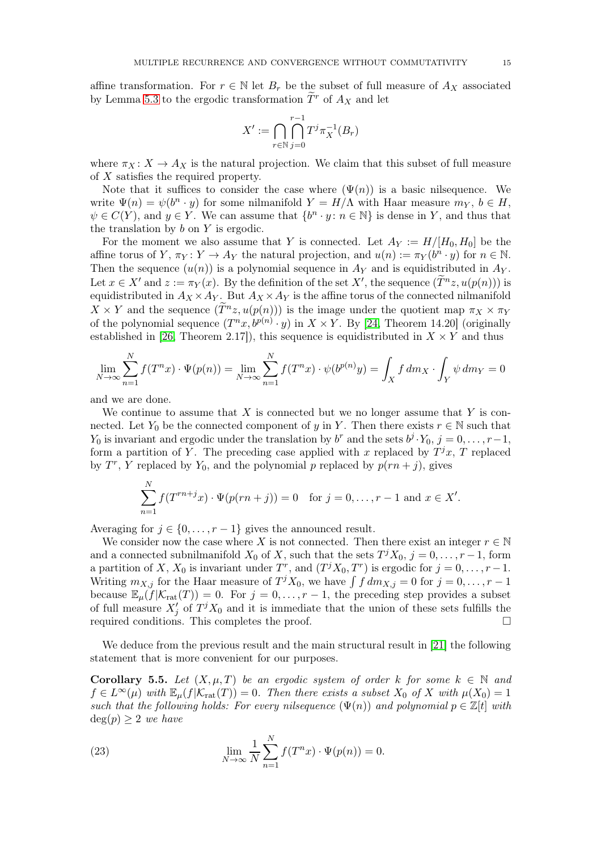affine transformation. For  $r \in \mathbb{N}$  let  $B_r$  be the subset of full measure of  $A_X$  associated by Lemma [5.3](#page-13-1) to the ergodic transformation  $\tilde{T}^r$  of  $A_X$  and let

$$
X' := \bigcap_{r \in \mathbb{N}} \bigcap_{j=0}^{r-1} T^j \pi_X^{-1}(B_r)
$$

where  $\pi_X : X \to A_X$  is the natural projection. We claim that this subset of full measure of X satisfies the required property.

Note that it suffices to consider the case where  $(\Psi(n))$  is a basic nilsequence. We write  $\Psi(n) = \psi(b^n \cdot y)$  for some nilmanifold  $Y = H/\Lambda$  with Haar measure  $m_Y, b \in H$ ,  $\psi \in C(Y)$ , and  $y \in Y$ . We can assume that  $\{b^n \cdot y : n \in \mathbb{N}\}\$ is dense in Y, and thus that the translation by  $b$  on  $Y$  is ergodic.

For the moment we also assume that Y is connected. Let  $A_Y := H/[H_0, H_0]$  be the affine torus of  $Y$ ,  $\pi_Y \colon Y \to A_Y$  the natural projection, and  $u(n) := \pi_Y(b^n \cdot y)$  for  $n \in \mathbb{N}$ . Then the sequence  $(u(n))$  is a polynomial sequence in  $A_Y$  and is equidistributed in  $A_Y$ . Let  $x \in X'$  and  $z := \pi_Y(x)$ . By the definition of the set  $X'$ , the sequence  $(\widetilde{T}^n z, u(p(n)))$  is equidistributed in  $A_X \times A_Y$ . But  $A_X \times A_Y$  is the affine torus of the connected nilmanifold  $X \times Y$  and the sequence  $(\tilde{T}^n z, u(p(n)))$  is the image under the quotient map  $\pi_X \times \pi_Y$ of the polynomial sequence  $(T^n x, b^{p(n)} \cdot y)$  in  $X \times Y$ . By [\[24,](#page-19-11) Theorem 14.20] (originally established in [\[26,](#page-19-19) Theorem 2.17]), this sequence is equidistributed in  $X \times Y$  and thus

$$
\lim_{N \to \infty} \sum_{n=1}^{N} f(T^n x) \cdot \Psi(p(n)) = \lim_{N \to \infty} \sum_{n=1}^{N} f(T^n x) \cdot \psi(b^{p(n)} y) = \int_{X} f dm_X \cdot \int_{Y} \psi dm_Y = 0
$$

and we are done.

We continue to assume that  $X$  is connected but we no longer assume that  $Y$  is connected. Let  $Y_0$  be the connected component of y in Y. Then there exists  $r \in \mathbb{N}$  such that  $Y_0$  is invariant and ergodic under the translation by  $b^r$  and the sets  $b^j \cdot Y_0$ ,  $j = 0, \ldots, r-1$ , form a partition of Y. The preceding case applied with x replaced by  $T^j x$ , T replaced by  $T^r$ , Y replaced by  $Y_0$ , and the polynomial p replaced by  $p(rn + j)$ , gives

$$
\sum_{n=1}^{N} f(T^{rn+j}x) \cdot \Psi(p(rn+j)) = 0 \text{ for } j = 0, \dots, r-1 \text{ and } x \in X'.
$$

Averaging for  $j \in \{0, \ldots, r-1\}$  gives the announced result.

We consider now the case where X is not connected. Then there exist an integer  $r \in \mathbb{N}$ and a connected subnilmanifold  $X_0$  of X, such that the sets  $T^j X_0$ ,  $j = 0, \ldots, r-1$ , form a partition of X,  $X_0$  is invariant under  $T^r$ , and  $(T^j X_0, T^r)$  is ergodic for  $j = 0, \ldots, r - 1$ . Writing  $m_{X,j}$  for the Haar measure of  $T^j X_0$ , we have  $\int f dm_{X,j} = 0$  for  $j = 0, \ldots, r-1$ because  $\mathbb{E}_{\mu}(f|\mathcal{K}_{\text{rat}}(T)) = 0$ . For  $j = 0, \ldots, r-1$ , the preceding step provides a subset of full measure  $X'_{j}$  of  $T^{j}X_{0}$  and it is immediate that the union of these sets fulfills the required conditions. This completes the proof.  $\Box$ 

We deduce from the previous result and the main structural result in [\[21\]](#page-19-9) the following statement that is more convenient for our purposes.

<span id="page-14-0"></span>Corollary 5.5. Let  $(X, \mu, T)$  be an ergodic system of order k for some  $k \in \mathbb{N}$  and  $f \in L^{\infty}(\mu)$  with  $\mathbb{E}_{\mu}(f|\mathcal{K}_{\text{rat}}(T)) = 0$ . Then there exists a subset  $X_0$  of X with  $\mu(X_0) = 1$ such that the following holds: For every nilsequence  $(\Psi(n))$  and polynomial  $p \in \mathbb{Z}[t]$  with  $deg(p) \geq 2$  we have

(23) 
$$
\lim_{N \to \infty} \frac{1}{N} \sum_{n=1}^{N} f(T^n x) \cdot \Psi(p(n)) = 0.
$$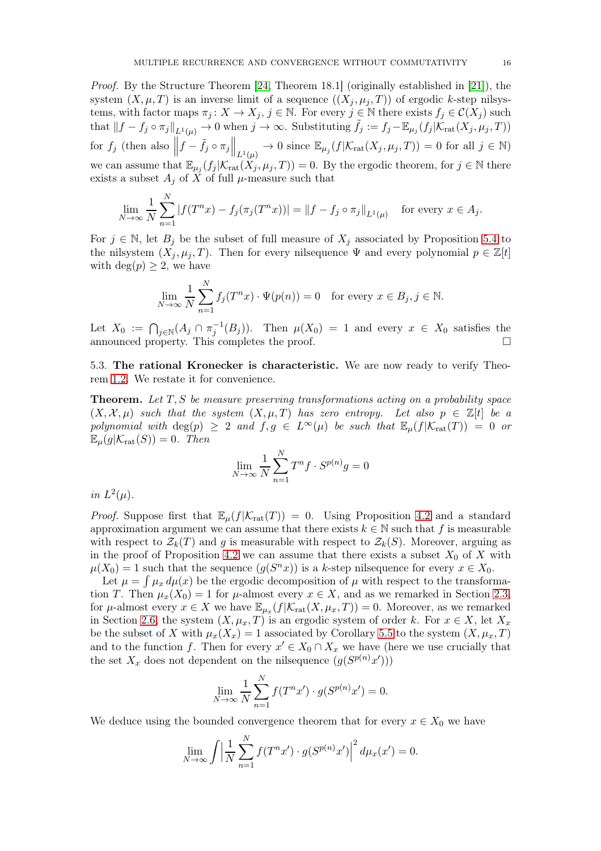Proof. By the Structure Theorem [\[24,](#page-19-11) Theorem 18.1] (originally established in [\[21\]](#page-19-9)), the system  $(X, \mu, T)$  is an inverse limit of a sequence  $((X_i, \mu_i, T))$  of ergodic k-step nilsystems, with factor maps  $\pi_j : X \to X_j$ ,  $j \in \mathbb{N}$ . For every  $j \in \mathbb{N}$  there exists  $f_j \in \mathcal{C}(X_j)$  such that  $||f - f_j \circ \pi_j||_{L^1(\mu)} \to 0$  when  $j \to \infty$ . Substituting  $\tilde{f}_j := f_j - \mathbb{E}_{\mu_j}(f_j | \mathcal{K}_{\text{rat}}(X_j, \mu_j, T))$ for  $f_j$  (then also  $\left\|f - \tilde{f}_j \circ \pi_j \right\|_{L^1(\mu)} \to 0$  since  $\mathbb{E}_{\mu_j}(f|\mathcal{K}_{\text{rat}}(X_j, \mu_j, T)) = 0$  for all  $j \in \mathbb{N}$ ) we can assume that  $\mathbb{E}_{\mu_j}(f_j|\mathcal{K}_{rat}(X_j,\mu_j,T))=0$ . By the ergodic theorem, for  $j\in\mathbb{N}$  there exists a subset  $A_j$  of X of full  $\mu$ -measure such that

$$
\lim_{N \to \infty} \frac{1}{N} \sum_{n=1}^{N} |f(T^n x) - f_j(\pi_j(T^n x))| = ||f - f_j \circ \pi_j||_{L^1(\mu)} \text{ for every } x \in A_j.
$$

For  $j \in \mathbb{N}$ , let  $B_j$  be the subset of full measure of  $X_j$  associated by Proposition [5.4](#page-13-0) to the nilsystem  $(X_j, \mu_j, T)$ . Then for every nilsequence  $\Psi$  and every polynomial  $p \in \mathbb{Z}[t]$ with  $\deg(p) \geq 2$ , we have

$$
\lim_{N \to \infty} \frac{1}{N} \sum_{n=1}^{N} f_j(T^n x) \cdot \Psi(p(n)) = 0 \quad \text{for every } x \in B_j, j \in \mathbb{N}.
$$

Let  $X_0 := \bigcap_{j \in \mathbb{N}} (A_j \cap \pi_j^{-1}(B_j))$ . Then  $\mu(X_0) = 1$  and every  $x \in X_0$  satisfies the announced property. This completes the proof.

5.3. The rational Kronecker is characteristic. We are now ready to verify Theorem [1.2.](#page-1-5) We restate it for convenience.

**Theorem.** Let  $T, S$  be measure preserving transformations acting on a probability space  $(X, \mathcal{X}, \mu)$  such that the system  $(X, \mu, T)$  has zero entropy. Let also  $p \in \mathbb{Z}[t]$  be a polynomial with deg(p)  $\geq 2$  and  $f, g \in L^{\infty}(\mu)$  be such that  $\mathbb{E}_{\mu}(f|\mathcal{K}_{rat}(T)) = 0$  or  $\mathbb{E}_{\mu}(g|\mathcal{K}_{\text{rat}}(S)) = 0$ . Then

$$
\lim_{N \to \infty} \frac{1}{N} \sum_{n=1}^{N} T^n f \cdot S^{p(n)} g = 0
$$

in  $L^2(\mu)$ .

*Proof.* Suppose first that  $\mathbb{E}_{\mu}(f|\mathcal{K}_{rat}(T)) = 0$ . Using Proposition [4.2](#page-10-0) and a standard approximation argument we can assume that there exists  $k \in \mathbb{N}$  such that f is measurable with respect to  $\mathcal{Z}_k(T)$  and g is measurable with respect to  $\mathcal{Z}_k(S)$ . Moreover, arguing as in the proof of Proposition [4.2](#page-10-0) we can assume that there exists a subset  $X_0$  of X with  $\mu(X_0) = 1$  such that the sequence  $(g(S^n x))$  is a k-step nilsequence for every  $x \in X_0$ .

Let  $\mu = \int \mu_x d\mu(x)$  be the ergodic decomposition of  $\mu$  with respect to the transformation T. Then  $\mu_x(X_0) = 1$  for  $\mu$ -almost every  $x \in X$ , and as we remarked in Section [2.3,](#page-4-3) for  $\mu$ -almost every  $x \in X$  we have  $\mathbb{E}_{\mu_x}(f|\mathcal{K}_{\mathrm{rat}}(X,\mu_x,T)) = 0$ . Moreover, as we remarked in Section [2.6,](#page-5-2) the system  $(X, \mu_x, T)$  is an ergodic system of order k. For  $x \in X$ , let  $X_x$ be the subset of X with  $\mu_x(X_x) = 1$  associated by Corollary [5.5](#page-14-0) to the system  $(X, \mu_x, T)$ and to the function f. Then for every  $x' \in X_0 \cap X_x$  we have (here we use crucially that the set  $X_x$  does not dependent on the nilsequence  $(g(S^{p(n)}x'))$ 

$$
\lim_{N \to \infty} \frac{1}{N} \sum_{n=1}^{N} f(T^n x') \cdot g(S^{p(n)} x') = 0.
$$

We deduce using the bounded convergence theorem that for every  $x \in X_0$  we have

$$
\lim_{N \to \infty} \int \left| \frac{1}{N} \sum_{n=1}^{N} f(T^n x') \cdot g(S^{p(n)} x') \right|^2 d\mu_x(x') = 0.
$$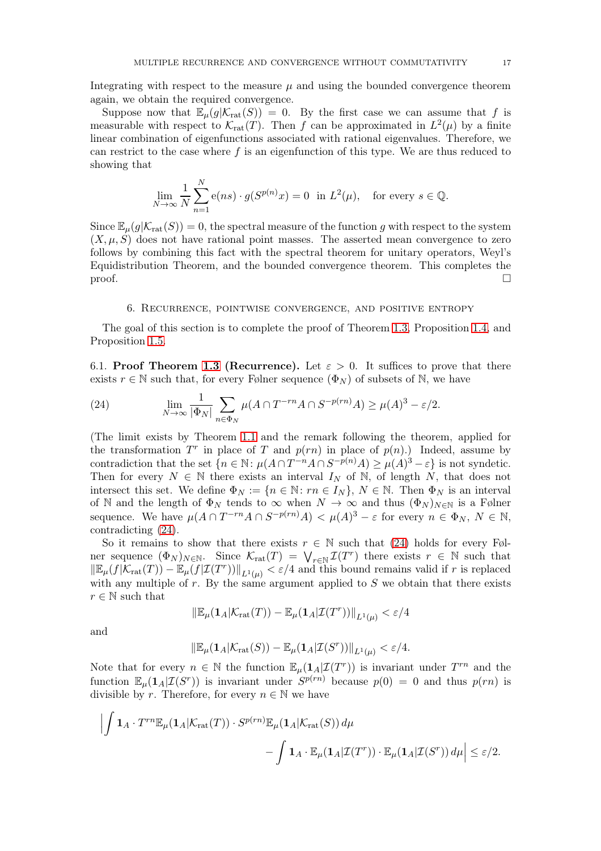Integrating with respect to the measure  $\mu$  and using the bounded convergence theorem again, we obtain the required convergence.

Suppose now that  $\mathbb{E}_{\mu}(g|\mathcal{K}_{\text{rat}}(S)) = 0$ . By the first case we can assume that f is measurable with respect to  $\mathcal{K}_{rat}(T)$ . Then f can be approximated in  $L^2(\mu)$  by a finite linear combination of eigenfunctions associated with rational eigenvalues. Therefore, we can restrict to the case where  $f$  is an eigenfunction of this type. We are thus reduced to showing that

$$
\lim_{N \to \infty} \frac{1}{N} \sum_{n=1}^{N} e(ns) \cdot g(S^{p(n)}x) = 0 \text{ in } L^{2}(\mu), \text{ for every } s \in \mathbb{Q}.
$$

Since  $\mathbb{E}_{\mu}(g|\mathcal{K}_{\text{rat}}(S)) = 0$ , the spectral measure of the function g with respect to the system  $(X, \mu, S)$  does not have rational point masses. The asserted mean convergence to zero follows by combining this fact with the spectral theorem for unitary operators, Weyl's Equidistribution Theorem, and the bounded convergence theorem. This completes the  $\Box$ 

### 6. Recurrence, pointwise convergence, and positive entropy

The goal of this section is to complete the proof of Theorem [1.3,](#page-1-4) Proposition [1.4,](#page-2-0) and Proposition [1.5.](#page-3-1)

6.1. Proof Theorem [1.3](#page-1-4) (Recurrence). Let  $\varepsilon > 0$ . It suffices to prove that there exists  $r \in \mathbb{N}$  such that, for every Følner sequence  $(\Phi_N)$  of subsets of  $\mathbb{N}$ , we have

<span id="page-16-0"></span>(24) 
$$
\lim_{N \to \infty} \frac{1}{|\Phi_N|} \sum_{n \in \Phi_N} \mu(A \cap T^{-rn} A \cap S^{-p(rn)} A) \ge \mu(A)^3 - \varepsilon/2.
$$

(The limit exists by Theorem [1.1](#page-1-3) and the remark following the theorem, applied for the transformation  $T^r$  in place of T and  $p(rn)$  in place of  $p(n)$ .) Indeed, assume by contradiction that the set  $\{n \in \mathbb{N} : \mu(A \cap T^{-n}A \cap S^{-p(n)}A) \geq \mu(A)^3 - \varepsilon\}$  is not syndetic. Then for every  $N \in \mathbb{N}$  there exists an interval  $I_N$  of  $\mathbb{N}$ , of length N, that does not intersect this set. We define  $\Phi_N := \{n \in \mathbb{N} : rn \in I_N\}, N \in \mathbb{N}$ . Then  $\Phi_N$  is an interval of N and the length of  $\Phi_N$  tends to  $\infty$  when  $N \to \infty$  and thus  $(\Phi_N)_{N \in \mathbb{N}}$  is a Følner sequence. We have  $\mu(A \cap T^{-rn}A \cap S^{-p(rn)}A) < \mu(A)^3 - \varepsilon$  for every  $n \in \Phi_N$ ,  $N \in \mathbb{N}$ , contradicting [\(24\)](#page-16-0).

So it remains to show that there exists  $r \in \mathbb{N}$  such that [\(24\)](#page-16-0) holds for every Følner sequence  $(\Phi_N)_{N \in \mathbb{N}}$ . Since  $\mathcal{K}_{rat}(T) = \bigvee_{r \in \mathbb{N}} \mathcal{I}(T^r)$  there exists  $r \in \mathbb{N}$  such that  $\|\mathbb{E}_{\mu}(f|\mathcal{K}_{\text{rat}}(T)) - \mathbb{E}_{\mu}(f|\mathcal{I}(T^r))\|_{L^1(\mu)} < \varepsilon/4$  and this bound remains valid if r is replaced with any multiple of  $r$ . By the same argument applied to  $S$  we obtain that there exists  $r \in \mathbb{N}$  such that

$$
\|\mathbb{E}_{\mu}(\mathbf{1}_A|\mathcal{K}_{\mathrm{rat}}(T)) - \mathbb{E}_{\mu}(\mathbf{1}_A|\mathcal{I}(T^r))\|_{L^1(\mu)} < \varepsilon/4
$$

and

$$
\left\|\mathbb{E}_{\mu}(\mathbf{1}_A|\mathcal{K}_{\mathrm{rat}}(S)) - \mathbb{E}_{\mu}(\mathbf{1}_A|\mathcal{I}(S^r))\right\|_{L^1(\mu)} < \varepsilon/4.
$$

Note that for every  $n \in \mathbb{N}$  the function  $\mathbb{E}_{\mu}(\mathbf{1}_A | \mathcal{I}(T^r))$  is invariant under  $T^{rn}$  and the function  $\mathbb{E}_{\mu}(\mathbf{1}_A | \mathcal{I}(S^r))$  is invariant under  $S^{p(rn)}$  because  $p(0) = 0$  and thus  $p(rn)$  is divisible by r. Therefore, for every  $n \in \mathbb{N}$  we have

$$
\left| \int \mathbf{1}_A \cdot T^{rn} \mathbb{E}_{\mu}(\mathbf{1}_A | \mathcal{K}_{\mathrm{rat}}(T)) \cdot S^{p(rn)} \mathbb{E}_{\mu}(\mathbf{1}_A | \mathcal{K}_{\mathrm{rat}}(S)) d\mu - \int \mathbf{1}_A \cdot \mathbb{E}_{\mu}(\mathbf{1}_A | \mathcal{I}(T^r)) \cdot \mathbb{E}_{\mu}(\mathbf{1}_A | \mathcal{I}(S^r)) d\mu \right| \le \varepsilon/2.
$$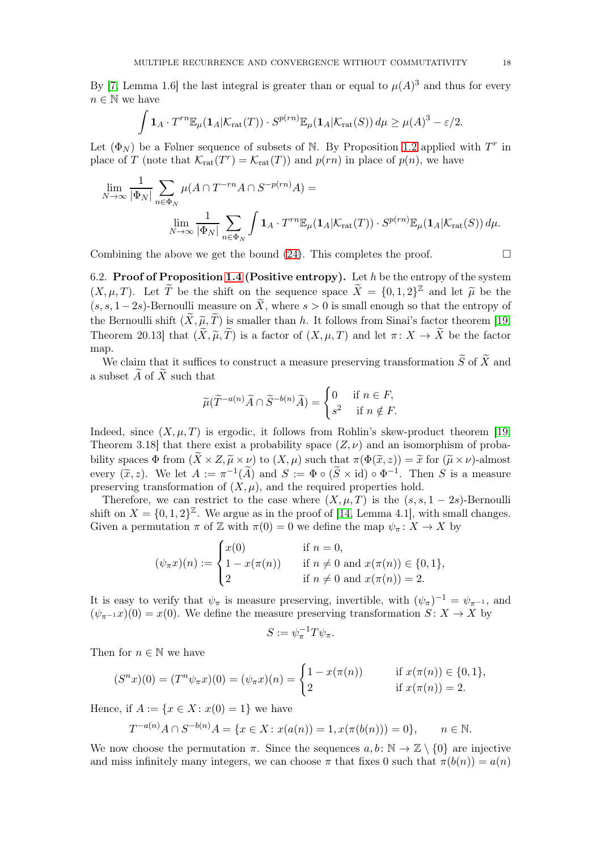By [\[7,](#page-19-21) Lemma 1.6] the last integral is greater than or equal to  $\mu(A)^3$  and thus for every  $n \in \mathbb{N}$  we have

$$
\int \mathbf{1}_A \cdot T^{rn} \mathbb{E}_{\mu}(\mathbf{1}_A | \mathcal{K}_{\mathrm{rat}}(T)) \cdot S^{p(rn)} \mathbb{E}_{\mu}(\mathbf{1}_A | \mathcal{K}_{\mathrm{rat}}(S)) d\mu \geq \mu(A)^3 - \varepsilon/2.
$$

Let  $(\Phi_N)$  be a Følner sequence of subsets of N. By Proposition [1.2](#page-1-5) applied with  $T^r$  in place of T (note that  $\mathcal{K}_{rat}(T^r) = \mathcal{K}_{rat}(T)$ ) and  $p(rn)$  in place of  $p(n)$ , we have

$$
\lim_{N \to \infty} \frac{1}{|\Phi_N|} \sum_{n \in \Phi_N} \mu(A \cap T^{-rn} A \cap S^{-p(rn)} A) =
$$
  

$$
\lim_{N \to \infty} \frac{1}{|\Phi_N|} \sum_{n \in \Phi_N} \int \mathbf{1}_A \cdot T^{rn} \mathbb{E}_{\mu}(\mathbf{1}_A | \mathcal{K}_{\text{rat}}(T)) \cdot S^{p(rn)} \mathbb{E}_{\mu}(\mathbf{1}_A | \mathcal{K}_{\text{rat}}(S)) d\mu.
$$

Combining the above we get the bound  $(24)$ . This completes the proof.  $\Box$ 

6.2. Proof of Proposition [1.4](#page-2-0) (Positive entropy). Let h be the entropy of the system  $(X, \mu, T)$ . Let  $\widetilde{T}$  be the shift on the sequence space  $\widetilde{X} = \{0, 1, 2\}^{\mathbb{Z}}$  and let  $\widetilde{\mu}$  be the  $(s, s, 1-2s)$ -Bernoulli measure on  $\widetilde{X}$ , where  $s > 0$  is small enough so that the entropy of the Bernoulli shift  $(\widetilde{X}, \widetilde{\mu}, \widetilde{T})$  is smaller than h. It follows from Sinai's factor theorem [\[19,](#page-19-12) Theorem 20.13] that  $(\widetilde{X}, \widetilde{\mu}, \widetilde{T})$  is a factor of  $(X, \mu, T)$  and let  $\pi \colon X \to \widetilde{X}$  be the factor map.

We claim that it suffices to construct a measure preserving transformation  $\widetilde{S}$  of  $\widetilde{X}$  and a subset  $\ddot{A}$  of  $\ddot{X}$  such that

$$
\widetilde{\mu}(\widetilde{T}^{-a(n)}\widetilde{A}\cap \widetilde{S}^{-b(n)}\widetilde{A})=\begin{cases} 0 & \text{if }n\in F,\\ s^2 & \text{if }n\notin F.\end{cases}
$$

Indeed, since  $(X, \mu, T)$  is ergodic, it follows from Rohlin's skew-product theorem [\[19,](#page-19-12) Theorem 3.18 that there exist a probability space  $(Z, \nu)$  and an isomorphism of probability spaces  $\Phi$  from  $(\widetilde{X}\times Z, \widetilde{\mu}\times \nu)$  to  $(X,\mu)$  such that  $\pi(\Phi(\widetilde{x}, z)) = \widetilde{x}$  for  $(\widetilde{\mu}\times \nu)$ -almost every  $(\widetilde{x}, z)$ . We let  $A := \pi^{-1}(\widetilde{A})$  and  $S := \Phi \circ (\widetilde{S} \times id) \circ \Phi^{-1}$ . Then S is a measure preserving transformation of  $(X, \mu)$ , and the required properties hold.

Therefore, we can restrict to the case where  $(X, \mu, T)$  is the  $(s, s, 1 - 2s)$ -Bernoulli shift on  $X = \{0, 1, 2\}^{\mathbb{Z}}$ . We argue as in the proof of [\[14,](#page-19-4) Lemma 4.1], with small changes. Given a permutation  $\pi$  of Z with  $\pi(0) = 0$  we define the map  $\psi_{\pi}: X \to X$  by

$$
(\psi_{\pi} x)(n) := \begin{cases} x(0) & \text{if } n = 0, \\ 1 - x(\pi(n)) & \text{if } n \neq 0 \text{ and } x(\pi(n)) \in \{0, 1\}, \\ 2 & \text{if } n \neq 0 \text{ and } x(\pi(n)) = 2. \end{cases}
$$

It is easy to verify that  $\psi_{\pi}$  is measure preserving, invertible, with  $(\psi_{\pi})^{-1} = \psi_{\pi^{-1}}$ , and  $(\psi_{\pi^{-1}} x)(0) = x(0)$ . We define the measure preserving transformation  $S: X \to X$  by

$$
S := \psi_{\pi}^{-1} T \psi_{\pi}.
$$

Then for  $n \in \mathbb{N}$  we have

$$
(Snx)(0) = (Tn\psi_{\pi}x)(0) = (\psi_{\pi}x)(n) = \begin{cases} 1 - x(\pi(n)) & \text{if } x(\pi(n)) \in \{0, 1\}, \\ 2 & \text{if } x(\pi(n)) = 2. \end{cases}
$$

Hence, if  $A := \{x \in X : x(0) = 1\}$  we have

$$
T^{-a(n)}A \cap S^{-b(n)}A = \{x \in X : x(a(n)) = 1, x(\pi(b(n))) = 0\}, \qquad n \in \mathbb{N}.
$$

We now choose the permutation  $\pi$ . Since the sequences  $a, b : \mathbb{N} \to \mathbb{Z} \setminus \{0\}$  are injective and miss infinitely many integers, we can choose  $\pi$  that fixes 0 such that  $\pi(b(n)) = a(n)$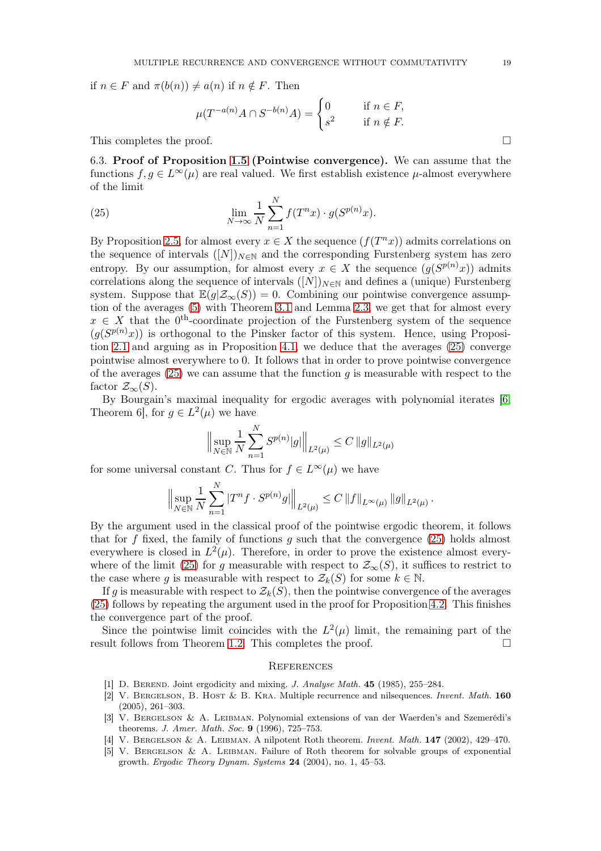if  $n \in F$  and  $\pi(b(n)) \neq a(n)$  if  $n \notin F$ . Then

$$
\mu(T^{-a(n)}A \cap S^{-b(n)}A) = \begin{cases} 0 & \text{if } n \in F, \\ s^2 & \text{if } n \notin F. \end{cases}
$$

This completes the proof.  $\Box$ 

6.3. Proof of Proposition [1.5](#page-3-1) (Pointwise convergence). We can assume that the functions  $f, g \in L^{\infty}(\mu)$  are real valued. We first establish existence  $\mu$ -almost everywhere of the limit

<span id="page-18-5"></span> $\mathbf{v}$ 

(25) 
$$
\lim_{N \to \infty} \frac{1}{N} \sum_{n=1}^{N} f(T^n x) \cdot g(S^{p(n)} x).
$$

By Proposition [2.5,](#page-7-3) for almost every  $x \in X$  the sequence  $(f(T^n x))$  admits correlations on the sequence of intervals  $([N])_{N\in\mathbb{N}}$  and the corresponding Furstenberg system has zero entropy. By our assumption, for almost every  $x \in X$  the sequence  $(g(S^{p(n)}x))$  admits correlations along the sequence of intervals  $([N])_{N\in\mathbb{N}}$  and defines a (unique) Furstenberg system. Suppose that  $\mathbb{E}(q|\mathcal{Z}_{\infty}(S)) = 0$ . Combining our pointwise convergence assumption of the averages [\(5\)](#page-3-0) with Theorem [3.1](#page-7-1) and Lemma [2.3,](#page-4-2) we get that for almost every  $x \in X$  that the  $0^{th}$ -coordinate projection of the Furstenberg system of the sequence  $(g(S^{p(n)}x))$  is orthogonal to the Pinsker factor of this system. Hence, using Proposition [2.1](#page-4-0) and arguing as in Proposition [4.1,](#page-9-0) we deduce that the averages [\(25\)](#page-18-5) converge pointwise almost everywhere to 0. It follows that in order to prove pointwise convergence of the averages [\(25\)](#page-18-5) we can assume that the function g is measurable with respect to the factor  $\mathcal{Z}_{\infty}(S)$ .

By Bourgain's maximal inequality for ergodic averages with polynomial iterates [\[6,](#page-19-22) Theorem 6, for  $g \in L^2(\mu)$  we have

$$
\Big\|\sup_{N\in\mathbb{N}}\frac{1}{N}\sum_{n=1}^{N}S^{p(n)}|g|\Big\|_{L^{2}(\mu)}\leq C\,\|g\|_{L^{2}(\mu)}
$$

for some universal constant C. Thus for  $f \in L^{\infty}(\mu)$  we have

$$
\Big\|\sup_{N\in\mathbb{N}}\frac{1}{N}\sum_{n=1}^N|T^nf\cdot S^{p(n)}g|\Big\|_{L^2(\mu)}\leq C\,\|f\|_{L^\infty(\mu)}\,\|g\|_{L^2(\mu)}\,.
$$

By the argument used in the classical proof of the pointwise ergodic theorem, it follows that for f fixed, the family of functions q such that the convergence  $(25)$  holds almost everywhere is closed in  $L^2(\mu)$ . Therefore, in order to prove the existence almost every-where of the limit [\(25\)](#page-18-5) for g measurable with respect to  $\mathcal{Z}_{\infty}(S)$ , it suffices to restrict to the case where g is measurable with respect to  $\mathcal{Z}_k(S)$  for some  $k \in \mathbb{N}$ .

If g is measurable with respect to  $\mathcal{Z}_k(S)$ , then the pointwise convergence of the averages [\(25\)](#page-18-5) follows by repeating the argument used in the proof for Proposition [4.2.](#page-10-0) This finishes the convergence part of the proof.

Since the pointwise limit coincides with the  $L^2(\mu)$  limit, the remaining part of the result follows from Theorem [1.2.](#page-1-5) This completes the proof.  $\Box$ 

#### **REFERENCES**

- <span id="page-18-4"></span><span id="page-18-2"></span>[1] D. BEREND. Joint ergodicity and mixing. *J. Analyse Math.* 45 (1985), 255–284.
- [2] V. Bergelson, B. Host & B. Kra. Multiple recurrence and nilsequences. Invent. Math. 160 (2005), 261–303.
- <span id="page-18-0"></span>[3] V. Bergelson & A. Leibman. Polynomial extensions of van der Waerden's and Szemerédi's theorems. J. Amer. Math. Soc. 9 (1996), 725–753.
- <span id="page-18-3"></span><span id="page-18-1"></span>[4] V. BERGELSON & A. LEIBMAN. A nilpotent Roth theorem. Invent. Math. **147** (2002), 429-470.
- [5] V. Bergelson & A. Leibman. Failure of Roth theorem for solvable groups of exponential growth. Ergodic Theory Dynam. Systems 24 (2004), no. 1, 45–53.